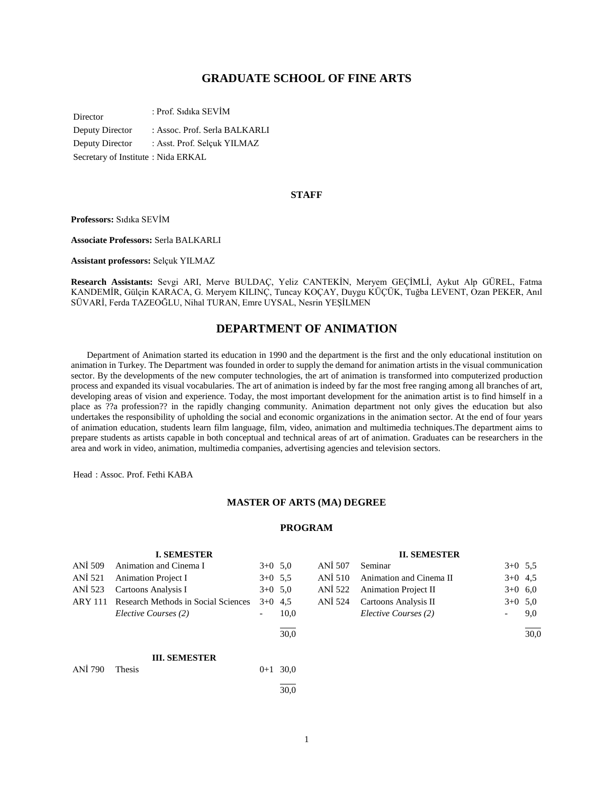## **GRADUATE SCHOOL OF FINE ARTS**

Director : Prof. Sıdıka SEVİM

Deputy Director : Assoc. Prof. Serla BALKARLI Deputy Director : Asst. Prof. Selçuk YILMAZ Secretary of Institute : Nida ERKAL

#### **STAFF**

**Professors:** Sıdıka SEVİM

**Associate Professors:** Serla BALKARLI

**Assistant professors:** Selçuk YILMAZ

**Research Assistants:** Sevgi ARI, Merve BULDAÇ, Yeliz CANTEKİN, Meryem GEÇİMLİ, Aykut Alp GÜREL, Fatma KANDEMİR, Gülçin KARACA, G. Meryem KILINÇ, Tuncay KOÇAY, Duygu KÜÇÜK, Tuğba LEVENT, Ozan PEKER, Anıl SÜVARİ, Ferda TAZEOĞLU, Nihal TURAN, Emre UYSAL, Nesrin YEŞİLMEN

## **DEPARTMENT OF ANIMATION**

 Department of Animation started its education in 1990 and the department is the first and the only educational institution on animation in Turkey. The Department was founded in order to supply the demand for animation artists in the visual communication sector. By the developments of the new computer technologies, the art of animation is transformed into computerized production process and expanded its visual vocabularies. The art of animation is indeed by far the most free ranging among all branches of art, developing areas of vision and experience. Today, the most important development for the animation artist is to find himself in a place as ??a profession?? in the rapidly changing community. Animation department not only gives the education but also undertakes the responsibility of upholding the social and economic organizations in the animation sector. At the end of four years of animation education, students learn film language, film, video, animation and multimedia techniques.The department aims to prepare students as artists capable in both conceptual and technical areas of art of animation. Graduates can be researchers in the area and work in video, animation, multimedia companies, advertising agencies and television sectors.

Head : Assoc. Prof. Fethi KABA

#### **MASTER OF ARTS (MA) DEGREE**

#### **PROGRAM**

|                | <b>I. SEMESTER</b>                  |                          |      |         | <b>II. SEMESTER</b>         |           |      |
|----------------|-------------------------------------|--------------------------|------|---------|-----------------------------|-----------|------|
| ANI 509        | Animation and Cinema I              | $3+0$ 5.0                |      | ANI 507 | Seminar                     | $3+0$ 5.5 |      |
| ANI 521        | <b>Animation Project I</b>          | $3+0$ 5,5                |      | ANI 510 | Animation and Cinema II     | $3+0$ 4,5 |      |
| ANI 523        | Cartoons Analysis I                 | $3+0$ 5,0                |      | ANI 522 | <b>Animation Project II</b> | $3+0$ 6,0 |      |
| <b>ARY 111</b> | Research Methods in Social Sciences | $3+0$ 4.5                |      | ANI 524 | Cartoons Analysis II        | $3+0$ 5,0 |      |
|                | Elective Courses (2)                | $\overline{\phantom{0}}$ | 10,0 |         | Elective Courses (2)        | -         | 9,0  |
|                |                                     |                          | 30.0 |         |                             |           | 30,0 |
|                | <b>III. SEMESTER</b>                |                          |      |         |                             |           |      |
| ANİ 790        | Thesis                              | $0 + 1$                  | 30,0 |         |                             |           |      |
|                |                                     |                          | 30,0 |         |                             |           |      |

1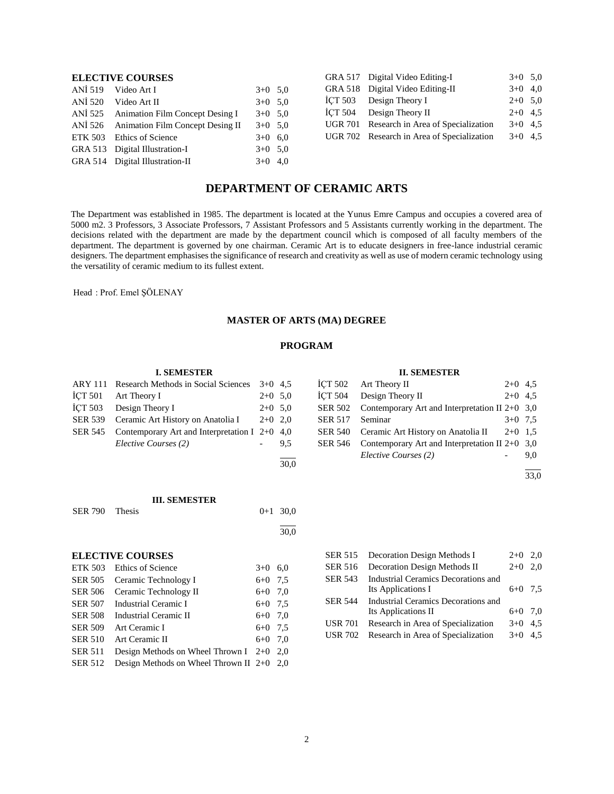## **ELECTIVE COURSES**

| ANİ 519 Video Art I                      | $3+0$ 5,0 |  |
|------------------------------------------|-----------|--|
| ANİ 520 Video Art II                     | $3+0$ 5,0 |  |
| ANİ 525 Animation Film Concept Desing I  | $3+0$ 5.0 |  |
| ANİ 526 Animation Film Concept Desing II | $3+0$ 5.0 |  |
| ETK 503 Ethics of Science                | $3+0$ 6,0 |  |
| GRA 513 Digital Illustration-I           | $3+0$ 5,0 |  |
| GRA 514 Digital Illustration-II          | $3+0$ 4.0 |  |
|                                          |           |  |

| GRA 517 Digital Video Editing-I            | $3+0$ 5.0 |  |
|--------------------------------------------|-----------|--|
| GRA 518 Digital Video Editing-II           | $3+0$ 4,0 |  |
| İCT 503 Design Theory I                    | $2+0$ 5.0 |  |
| İCT 504 Design Theory II                   | $2+0$ 4.5 |  |
| UGR 701 Research in Area of Specialization | $3+0$ 4.5 |  |
| UGR 702 Research in Area of Specialization | $3+0$ 4.5 |  |
|                                            |           |  |

## **DEPARTMENT OF CERAMIC ARTS**

The Department was established in 1985. The department is located at the Yunus Emre Campus and occupies a covered area of 5000 m2. 3 Professors, 3 Associate Professors, 7 Assistant Professors and 5 Assistants currently working in the department. The decisions related with the department are made by the department council which is composed of all faculty members of the department. The department is governed by one chairman. Ceramic Art is to educate designers in free-lance industrial ceramic designers. The department emphasises the significance of research and creativity as well as use of modern ceramic technology using the versatility of ceramic medium to its fullest extent.

Head : Prof. Emel ŞÖLENAY

## **MASTER OF ARTS (MA) DEGREE**

#### **PROGRAM**

#### **I. SEMESTER**

| ARY 111 Research Methods in Social Sciences 3+0 4,5     |           |     |
|---------------------------------------------------------|-----------|-----|
| $\text{ICT } 501$ Art Theory I                          | $2+0$ 5.0 |     |
| ICT 503 Design Theory I                                 | $2+0$ 5.0 |     |
| SER 539 Ceramic Art History on Anatolia I $2+0$ 2.0     |           |     |
| SER 545 Contemporary Art and Interpretation I $2+0$ 4,0 |           |     |
| Elective Courses (2)                                    |           | 9.5 |
|                                                         |           |     |

**III. SEMESTER** SER 790 Thesis  $0+1, 30.0$ 

> l 30,0

30,0

# **ELECTIVE COURSES**

|                | ETK 503 Ethics of Science                   | $3+0$   | 6.0 |
|----------------|---------------------------------------------|---------|-----|
| <b>SER 505</b> | Ceramic Technology I                        | $6 + 0$ | 7.5 |
| <b>SER 506</b> | Ceramic Technology II                       | $6 + 0$ | 7.0 |
|                | SER 507 Industrial Ceramic I                | $6 + 0$ | 7.5 |
| <b>SER 508</b> | Industrial Ceramic II                       | $6 + 0$ | 7.0 |
| <b>SER 509</b> | Art Ceramic I                               | $6 + 0$ | 7.5 |
| <b>SER 510</b> | Art Ceramic II                              | $6 + 0$ | 7.0 |
| <b>SER 511</b> | Design Methods on Wheel Thrown $I$ 2+0      |         | 2.0 |
| <b>SER 512</b> | Design Methods on Wheel Thrown II $2+0$ 2,0 |         |     |
|                |                                             |         |     |

| <b>SER 516</b> | Decoration Design Methods II        | $2+0$     | 2.0 |
|----------------|-------------------------------------|-----------|-----|
| <b>SER 543</b> | Industrial Ceramics Decorations and |           |     |
|                | Its Applications I                  | $6+0$ 7.5 |     |
| <b>SER 544</b> | Industrial Ceramics Decorations and |           |     |
|                | Its Applications II                 | $6+0$ 7.0 |     |
| <b>USR 701</b> | Research in Area of Specialization  | $3+0$ 4.5 |     |
| <b>USR 702</b> | Research in Area of Specialization  | $3+0$ 4.5 |     |
|                |                                     |           |     |
|                |                                     |           |     |

SER 515 Decoration Design Methods I 2+0 2,0

#### **II. SEMESTER**

|                 | ICT 502 Art Theory II                                    | $2+0$ 4.5 |     |
|-----------------|----------------------------------------------------------|-----------|-----|
| ICT 504         | Design Theory II                                         | $2+0$ 4.5 |     |
| SER 502         | Contemporary Art and Interpretation II $2+0$ 3,0         |           |     |
| SER 517 Seminar |                                                          | $3+0$ 7.5 |     |
|                 | SER 540 Ceramic Art History on Anatolia II $2+0$ 1,5     |           |     |
|                 | SER 546 Contemporary Art and Interpretation II 2+0 $3,0$ |           |     |
|                 | Elective Courses (2)                                     |           | 9.0 |

33,0

l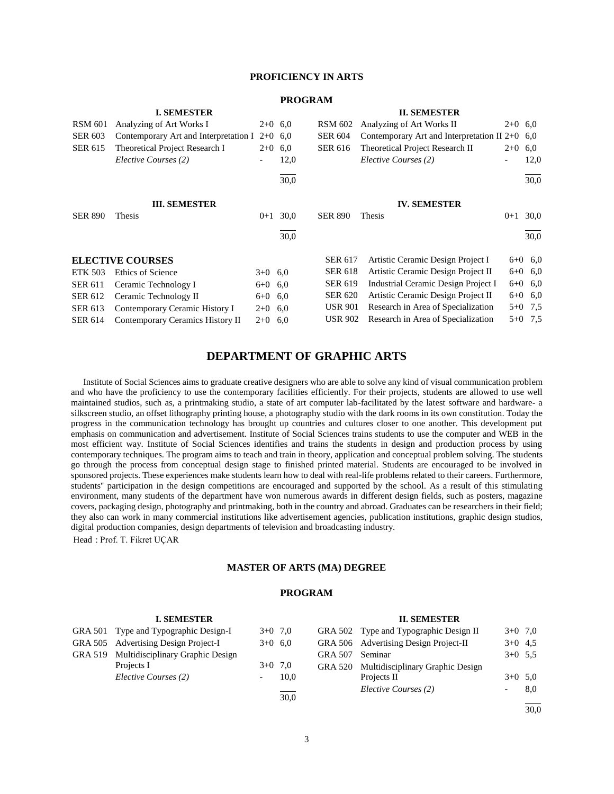## **PROFICIENCY IN ARTS**

## **PROGRAM**

|                | <b>I. SEMESTER</b>                              |           |      |                | <b>II. SEMESTER</b>                              |           |           |
|----------------|-------------------------------------------------|-----------|------|----------------|--------------------------------------------------|-----------|-----------|
| <b>RSM 601</b> | Analyzing of Art Works I                        | $2+0$ 6.0 |      | <b>RSM 602</b> | Analyzing of Art Works II                        | $2+0$ 6,0 |           |
| <b>SER 603</b> | Contemporary Art and Interpretation I $2+0$ 6,0 |           |      | <b>SER 604</b> | Contemporary Art and Interpretation II $2+0$ 6,0 |           |           |
| <b>SER 615</b> | Theoretical Project Research I                  | $2+0$ 6.0 |      | <b>SER 616</b> | Theoretical Project Research II                  | $2+0$ 6,0 |           |
|                | Elective Courses (2)                            |           | 12,0 |                | Elective Courses (2)                             |           | 12,0      |
|                |                                                 |           | 30,0 |                |                                                  |           | 30,0      |
|                | <b>III. SEMESTER</b>                            |           |      |                | <b>IV. SEMESTER</b>                              |           |           |
| <b>SER 890</b> | Thesis                                          | $0 + 1$   | 30,0 | <b>SER 890</b> | Thesis                                           | $0 + 1$   | 30,0      |
|                |                                                 |           | 30,0 |                |                                                  |           | 30,0      |
|                | <b>ELECTIVE COURSES</b>                         |           |      | <b>SER 617</b> | Artistic Ceramic Design Project I                |           | $6+0$ 6,0 |
| <b>ETK 503</b> | Ethics of Science                               | $3+0$ 6,0 |      | <b>SER 618</b> | Artistic Ceramic Design Project II               |           | $6+0$ 6,0 |
| <b>SER 611</b> | Ceramic Technology I                            | $6+0$ 6.0 |      | <b>SER 619</b> | Industrial Ceramic Design Project I              |           | $6+0$ 6,0 |
| <b>SER 612</b> | Ceramic Technology II                           | $6+0$ 6.0 |      | <b>SER 620</b> | Artistic Ceramic Design Project II               |           | $6+0$ 6,0 |
| <b>SER 613</b> | Contemporary Ceramic History I                  | $2+0$ 6,0 |      | <b>USR 901</b> | Research in Area of Specialization               |           | $5+0$ 7,5 |
| <b>SER 614</b> | Contemporary Ceramics History II                | $2+0$ 6,0 |      | <b>USR 902</b> | Research in Area of Specialization               | $5 + 0$   | 7,5       |

## **DEPARTMENT OF GRAPHIC ARTS**

 Institute of Social Sciences aims to graduate creative designers who are able to solve any kind of visual communication problem and who have the proficiency to use the contemporary facilities efficiently. For their projects, students are allowed to use well maintained studios, such as, a printmaking studio, a state of art computer lab-facilitated by the latest software and hardware- a silkscreen studio, an offset lithography printing house, a photography studio with the dark rooms in its own constitution. Today the progress in the communication technology has brought up countries and cultures closer to one another. This development put emphasis on communication and advertisement. Institute of Social Sciences trains students to use the computer and WEB in the most efficient way. Institute of Social Sciences identifies and trains the students in design and production process by using contemporary techniques. The program aims to teach and train in theory, application and conceptual problem solving. The students go through the process from conceptual design stage to finished printed material. Students are encouraged to be involved in sponsored projects. These experiences make students learn how to deal with real-life problems related to their careers. Furthermore, students'' participation in the design competitions are encouraged and supported by the school. As a result of this stimulating environment, many students of the department have won numerous awards in different design fields, such as posters, magazine covers, packaging design, photography and printmaking, both in the country and abroad. Graduates can be researchers in their field; they also can work in many commercial institutions like advertisement agencies, publication institutions, graphic design studios, digital production companies, design departments of television and broadcasting industry.

Head : Prof. T. Fikret UÇAR

#### **MASTER OF ARTS (MA) DEGREE**

#### **PROGRAM**

#### **I. SEMESTER** GRA 501 Type and Typographic Design-I  $3+0$  7,0 GRA 505 Advertising Design Project-I 3+0 6,0 GRA 519 Multidisciplinary Graphic Design Projects I  $3+0$  7,0 *Elective Courses (2)* - 10,0 l 30,0 **II. SEMESTER** GRA 502 Type and Typographic Design II  $3+0$  7,0 GRA 506 Advertising Design Project-II 3+0 4,5 GRA 507 Seminar 3+0 5,5 GRA 520 Multidisciplinary Graphic Design Projects II  $3+0.5,0$ *Elective Courses (2)* - 8,0

l 30,0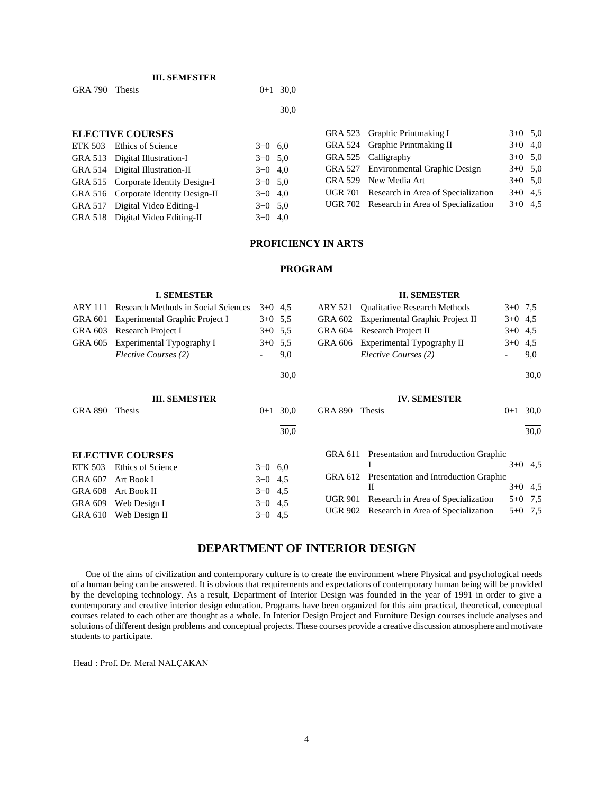## **III. SEMESTER**

GRA 790 Thesis  $0+1$  30,0

l 30,0

## **ELECTIVE COURSES**

| ETK 503 Ethics of Science            | $3+0$ 6,0 |  |
|--------------------------------------|-----------|--|
| GRA 513 Digital Illustration-I       | $3+0$ 5,0 |  |
| GRA 514 Digital Illustration-II      | $3+0$ 4,0 |  |
| GRA 515 Corporate Identity Design-I  | $3+0$ 5,0 |  |
| GRA 516 Corporate Identity Design-II | $3+0$ 4,0 |  |
| GRA 517 Digital Video Editing-I      | $3+0$ 5,0 |  |
| GRA 518 Digital Video Editing-II     | $3+0$ 4,0 |  |

|  | GRA 523 Graphic Printmaking I              | $3+0$ 5,0 |  |
|--|--------------------------------------------|-----------|--|
|  | GRA 524 Graphic Printmaking II             | $3+0$ 4,0 |  |
|  | GRA 525 Calligraphy                        | $3+0$ 5,0 |  |
|  | GRA 527 Environmental Graphic Design       | $3+0$ 5,0 |  |
|  | GRA 529 New Media Art                      | $3+0$ 5,0 |  |
|  | UGR 701 Research in Area of Specialization | $3+0$ 4.5 |  |
|  | UGR 702 Research in Area of Specialization | $3+0$ 4.5 |  |
|  |                                            |           |  |

#### **PROFICIENCY IN ARTS**

## **PROGRAM**

|                | <b>I. SEMESTER</b>                  |           |      |                | <b>II. SEMESTER</b>                   |           |           |
|----------------|-------------------------------------|-----------|------|----------------|---------------------------------------|-----------|-----------|
| <b>ARY 111</b> | Research Methods in Social Sciences | $3+0$ 4,5 |      | ARY 521        | <b>Qualitative Research Methods</b>   | $3+0$ 7.5 |           |
| GRA 601        | Experimental Graphic Project I      | $3+0$ 5.5 |      | GRA 602        | Experimental Graphic Project II       | $3+0$ 4,5 |           |
| <b>GRA 603</b> | Research Project I                  | $3+0$ 5.5 |      | <b>GRA 604</b> | Research Project II                   | $3+0$ 4,5 |           |
| <b>GRA 605</b> | Experimental Typography I           | $3+0$ 5,5 |      | <b>GRA 606</b> | Experimental Typography II            | $3+0$     | 4,5       |
|                | Elective Courses (2)                |           | 9,0  |                | Elective Courses (2)                  |           | 9,0       |
|                |                                     |           | 30,0 |                |                                       |           | 30,0      |
|                | <b>III. SEMESTER</b>                |           |      |                | <b>IV. SEMESTER</b>                   |           |           |
| <b>GRA 890</b> | Thesis                              | $0+1$     | 30.0 | <b>GRA 890</b> | Thesis                                | $0 + 1$   | 30,0      |
|                |                                     |           | 30,0 |                |                                       |           | 30,0      |
|                | <b>ELECTIVE COURSES</b>             |           |      | GRA 611        | Presentation and Introduction Graphic |           |           |
| <b>ETK 503</b> | Ethics of Science                   | $3+0$ 6.0 |      |                |                                       |           | $3+0$ 4.5 |
| <b>GRA 607</b> | Art Book I                          | $3+0$ 4,5 |      | GRA 612        | Presentation and Introduction Graphic |           |           |
| <b>GRA 608</b> | Art Book II                         | $3+0$ 4,5 |      |                | $_{\rm II}$                           |           | $3+0$ 4,5 |
| <b>GRA 609</b> | Web Design I                        | $3+0$ 4,5 |      | <b>UGR 901</b> | Research in Area of Specialization    |           | $5+0$ 7,5 |
| GRA 610        | Web Design II                       | $3+0$ 4,5 |      | <b>UGR 902</b> | Research in Area of Specialization    | $5 + 0$   | 7,5       |

## **DEPARTMENT OF INTERIOR DESIGN**

 One of the aims of civilization and contemporary culture is to create the environment where Physical and psychological needs of a human being can be answered. It is obvious that requirements and expectations of contemporary human being will be provided by the developing technology. As a result, Department of Interior Design was founded in the year of 1991 in order to give a contemporary and creative interior design education. Programs have been organized for this aim practical, theoretical, conceptual courses related to each other are thought as a whole. In Interior Design Project and Furniture Design courses include analyses and solutions of different design problems and conceptual projects. These courses provide a creative discussion atmosphere and motivate students to participate.

Head : Prof. Dr. Meral NALÇAKAN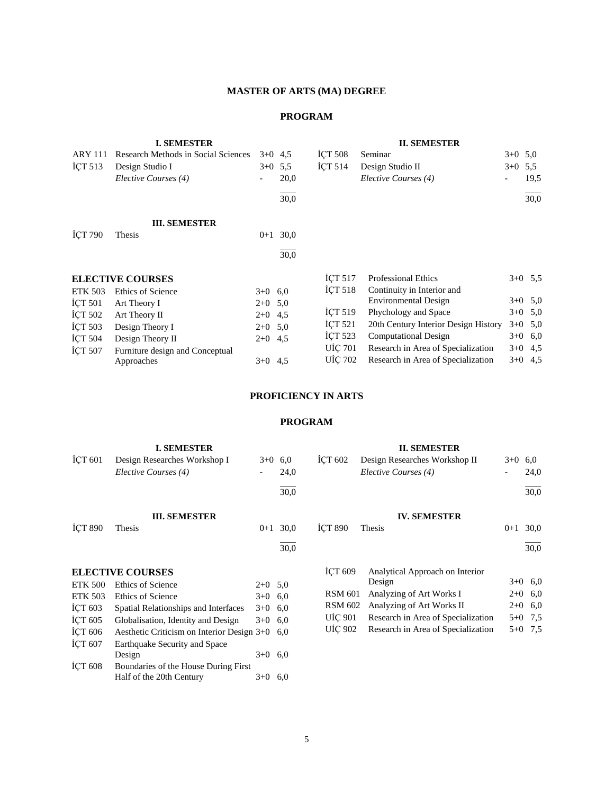## **MASTER OF ARTS (MA) DEGREE**

## **PROGRAM**

|                    | <b>I. SEMESTER</b>                  |           |           |                    | <b>II. SEMESTER</b>                  |           |           |
|--------------------|-------------------------------------|-----------|-----------|--------------------|--------------------------------------|-----------|-----------|
| <b>ARY 111</b>     | Research Methods in Social Sciences |           | $3+0$ 4.5 | <b>ICT 508</b>     | Seminar                              | $3+0$ 5.0 |           |
| ICT <sub>513</sub> | Design Studio I                     |           | $3+0$ 5.5 | ICT $514$          | Design Studio II                     | $3+0$     | 5.5       |
|                    | Elective Courses (4)                |           | 20,0      |                    | Elective Courses (4)                 |           | 19.5      |
|                    |                                     |           | 30,0      |                    |                                      |           | 30,0      |
|                    | <b>III. SEMESTER</b>                |           |           |                    |                                      |           |           |
| <b>ICT 790</b>     | Thesis                              | $0 + 1$   | 30,0      |                    |                                      |           |           |
|                    |                                     |           | 30,0      |                    |                                      |           |           |
|                    | <b>ELECTIVE COURSES</b>             |           |           | ICT <sub>517</sub> | <b>Professional Ethics</b>           |           | $3+0$ 5.5 |
| <b>ETK 503</b>     | Ethics of Science                   | $3+0$ 6,0 |           | <b>ICT 518</b>     | Continuity in Interior and           |           |           |
| <b>ICT 501</b>     | Art Theory I                        | $2+0$ 5.0 |           |                    | Environmental Design                 |           | $3+0$ 5,0 |
| ICT 502            | Art Theory II                       | $2+0$ 4.5 |           | <b>ICT 519</b>     | Phychology and Space                 |           | $3+0$ 5,0 |
| <b>ICT 503</b>     | Design Theory I                     | $2+0$ 5,0 |           | ICT 521            | 20th Century Interior Design History |           | $3+0$ 5,0 |
| <b>ICT 504</b>     | Design Theory II                    | $2+0$ 4.5 |           | <b>ICT 523</b>     | <b>Computational Design</b>          |           | $3+0$ 6,0 |
| ICT 507            | Furniture design and Conceptual     |           |           | <b>UİÇ 701</b>     | Research in Area of Specialization   |           | $3+0$ 4.5 |
|                    | Approaches                          | $3+0$ 4.5 |           | <b>UIC 702</b>     | Research in Area of Specialization   |           | $3+0$ 4,5 |
|                    |                                     |           |           |                    |                                      |           |           |

## **PROFICIENCY IN ARTS**

|                | <b>I. SEMESTER</b>                         |           |           |                | <b>II. SEMESTER</b>                |           |           |
|----------------|--------------------------------------------|-----------|-----------|----------------|------------------------------------|-----------|-----------|
| ICT 601        | Design Researches Workshop I               |           | $3+0$ 6.0 | <b>ICT 602</b> | Design Researches Workshop II      | $3+0$ 6,0 |           |
|                | Elective Courses (4)                       |           | 24,0      |                | Elective Courses (4)               |           | 24,0      |
|                |                                            |           | 30,0      |                |                                    |           | 30,0      |
|                | <b>III. SEMESTER</b>                       |           |           |                | <b>IV. SEMESTER</b>                |           |           |
| <b>ICT 890</b> | Thesis                                     | $0 + 1$   | 30,0      | <b>ICT 890</b> | Thesis                             | $0 + 1$   | 30,0      |
|                |                                            |           | 30,0      |                |                                    |           | 30,0      |
|                | <b>ELECTIVE COURSES</b>                    |           |           | <b>ICT 609</b> | Analytical Approach on Interior    |           |           |
| <b>ETK 500</b> | Ethics of Science                          | $2+0$ 5.0 |           |                | Design                             |           | $3+0$ 6,0 |
| <b>ETK 503</b> | Ethics of Science                          | $3+0$ 6.0 |           | <b>RSM 601</b> | Analyzing of Art Works I           |           | $2+0$ 6,0 |
| ICT 603        | Spatial Relationships and Interfaces       | $3+0$ 6.0 |           | <b>RSM 602</b> | Analyzing of Art Works II          |           | $2+0$ 6,0 |
| ICT 605        | Globalisation, Identity and Design         | $3+0$ 6.0 |           | UIÇ 901        | Research in Area of Specialization |           | $5+0$ 7,5 |
| <b>ICT 606</b> | Aesthetic Criticism on Interior Design 3+0 |           | 6.0       | UIÇ 902        | Research in Area of Specialization | $5 + 0$   | 7,5       |
| ICT 607        | Earthquake Security and Space              |           |           |                |                                    |           |           |
|                | Design                                     | $3+0$ 6.0 |           |                |                                    |           |           |
| ICT 608        | Boundaries of the House During First       |           |           |                |                                    |           |           |
|                | Half of the 20th Century                   | $3+0$ 6,0 |           |                |                                    |           |           |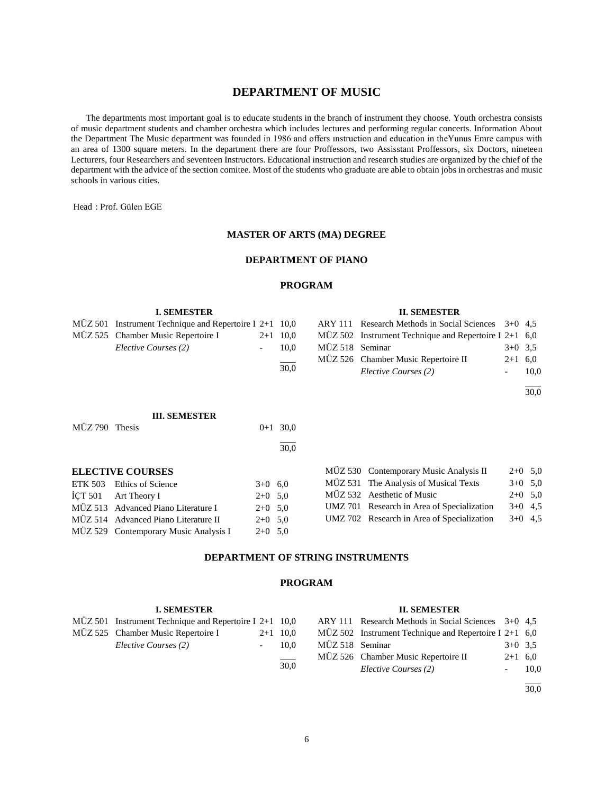## **DEPARTMENT OF MUSIC**

 The departments most important goal is to educate students in the branch of instrument they choose. Youth orchestra consists of music department students and chamber orchestra which includes lectures and performing regular concerts. Information About the Department The Music department was founded in 1986 and offers ınstruction and education in theYunus Emre campus with an area of 1300 square meters. In the department there are four Proffessors, two Assisstant Proffessors, six Doctors, nineteen Lecturers, four Researchers and seventeen Instructors. Educational instruction and research studies are organized by the chief of the department with the advice of the section comitee. Most of the students who graduate are able to obtain jobs in orchestras and music schools in various cities.

Head : Prof. Gülen EGE

#### **MASTER OF ARTS (MA) DEGREE**

#### **DEPARTMENT OF PIANO**

#### **PROGRAM**

#### **I. SEMESTER** MÜZ 501 Instrument Technique and Repertoire I 2+1 10,0 MÜZ 525 Chamber Music Repertoire I 2+1 10,0 *Elective Courses (2)* - 10,0  $\overline{a}$ 30,0 **II. SEMESTER** ARY 111 Research Methods in Social Sciences 3+0 4,5 MÜZ 502 Instrument Technique and Repertoire I 2+1 6,0 MÜZ 518 Seminar 3+0 3.5 MÜZ 526 Chamber Music Repertoire II 2+1 6,0 *Elective Courses (2)* - 10,0 l 30,0 **III. SEMESTER** MÜZ 790 Thesis 0+1 30,0 l 30,0

| <b>ELECTIVE COURSES</b> |  |  |
|-------------------------|--|--|
| $PPTLZ = 0.2$           |  |  |

| ETK 503 Ethics of Science             | $3+0$ 6.0 |  |
|---------------------------------------|-----------|--|
| İCT 501 Art Theory I                  | $2+0$ 5.0 |  |
| MÜZ 513 Advanced Piano Literature I   | $2+0$ 5.0 |  |
| MÜZ 514 Advanced Piano Literature II  | $2+0$ 5.0 |  |
| MÜZ 529 Contemporary Music Analysis I | $2+0$ 5.0 |  |

|  | MÜZ 530 Contemporary Music Analysis II     | $2+0$ 5.0 |  |
|--|--------------------------------------------|-----------|--|
|  | MÜZ 531 The Analysis of Musical Texts      | $3+0$ 5.0 |  |
|  | MÜZ 532 Aesthetic of Music                 | $2+0$ 5,0 |  |
|  | UMZ 701 Research in Area of Specialization | $3+0$ 4.5 |  |
|  | UMZ 702 Research in Area of Specialization | $3+0$ 4.5 |  |

## **DEPARTMENT OF STRING INSTRUMENTS**

#### **PROGRAM**

#### **I. SEMESTER**

| $M\ddot{U}Z$ 501 Instrument Technique and Repertoire I 2+1 10,0 |            |
|-----------------------------------------------------------------|------------|
| MÜZ 525 Chamber Music Repertoire I                              | $2+1$ 10,0 |
| Elective Courses (2)                                            | 10.0       |
|                                                                 | 30.0       |

#### **II. SEMESTER**

|                 | ARY 111 Research Methods in Social Sciences 3+0 4,5     |           |      |
|-----------------|---------------------------------------------------------|-----------|------|
|                 | MÜZ 502 Instrument Technique and Repertoire I $2+1$ 6,0 |           |      |
| MÜZ 518 Seminar |                                                         | $3+0$ 3.5 |      |
|                 | MÜZ 526 Chamber Music Repertoire II                     | $2+1$ 6.0 |      |
|                 | Elective Courses (2)                                    |           | 10.0 |

l 30,0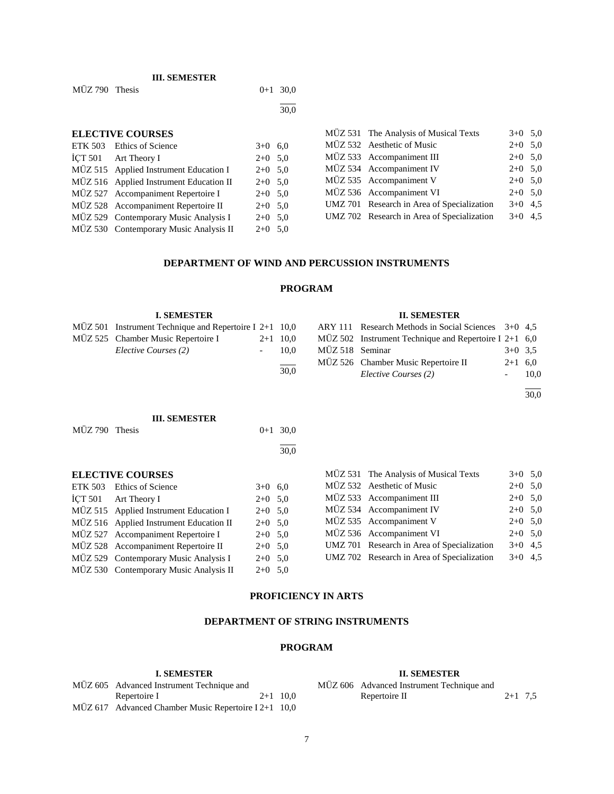|                | <b>III. SEMESTER</b>                    |           |      |                     |       |
|----------------|-----------------------------------------|-----------|------|---------------------|-------|
| MÜZ 790 Thesis |                                         | $0 + 1$   | 30,0 |                     |       |
|                |                                         |           | 30,0 |                     |       |
|                | <b>ELECTIVE COURSES</b>                 |           |      | $M\ddot{U}Z 531$ Th |       |
|                | ETK 503 Ethics of Science               | $3+0$ 6.0 |      | MÜZ 532 A           |       |
|                | İÇT 501 Art Theory I                    | $2+0$ 5.0 |      | MÜZ 533 A           |       |
|                | MÜZ 515 Applied Instrument Education I  | $2+0$ 5.0 |      | $M\ddot{U}Z 534 A$  |       |
|                | MÜZ 516 Applied Instrument Education II | $2+0$ 5.0 |      | MÜZ 535 A           |       |
|                | MÜZ 527 Accompaniment Repertoire I      | $2+0$ 5.0 |      | $M\ddot{U}Z 536$ A  |       |
|                | MÜZ 528 Accompaniment Repertoire II     | $2+0$ 5.0 |      | <b>UMZ 701</b>      | $R_6$ |
|                | MÜZ 529 Contemporary Music Analysis I   | $2+0$ 5.0 |      | <b>UMZ 702 Re</b>   |       |
|                | MÜZ 530 Contemporary Music Analysis II  | $2+0$ 5.0 |      |                     |       |

| MÜZ 531 The Analysis of Musical Texts      | $3+0$ 5.0 |  |
|--------------------------------------------|-----------|--|
| MÜZ 532 Aesthetic of Music                 | $2+0$ 5,0 |  |
| MÜZ 533 Accompaniment III                  | $2+0$ 5.0 |  |
| MÜZ 534 Accompaniment IV                   | $2+0$ 5.0 |  |
| MÜZ 535 Accompaniment V                    | $2+0$ 5.0 |  |
| MÜZ 536 Accompaniment VI                   | $2+0$ 5.0 |  |
| UMZ 701 Research in Area of Specialization | $3+0$ 4.5 |  |
| UMZ 702 Research in Area of Specialization | $3+0$ 4.5 |  |

## **DEPARTMENT OF WIND AND PERCUSSION INSTRUMENTS**

## **PROGRAM**

| <b>I. SEMESTER</b>                                              |                  |                 | <b>II. SEMESTER</b>                                     |           |      |
|-----------------------------------------------------------------|------------------|-----------------|---------------------------------------------------------|-----------|------|
| $M\ddot{U}Z$ 501 Instrument Technique and Repertoire I 2+1 10,0 |                  |                 | ARY 111 Research Methods in Social Sciences $3+0$ 4,5   |           |      |
| MÜZ 525 Chamber Music Repertoire I                              | $2+1$ 10,0       |                 | MÜZ 502 Instrument Technique and Repertoire I 2+1 $6,0$ |           |      |
| Elective Courses (2)                                            | 10.0             | MÜZ 518 Seminar |                                                         | $3+0$ 3.5 |      |
|                                                                 | $\frac{1}{30,0}$ |                 | MÜZ 526 Chamber Music Repertoire II                     | $2+1$ 6,0 |      |
|                                                                 |                  |                 | Elective Courses (2)                                    |           | 10,0 |
|                                                                 |                  |                 |                                                         |           |      |

30,0

#### **III. SEMESTER**

| MÜZ 790 Thesis |                                         |           | $0+1$ 30,0 |
|----------------|-----------------------------------------|-----------|------------|
|                |                                         |           | 30,0       |
|                | <b>ELECTIVE COURSES</b>                 |           |            |
|                | ETK 503 Ethics of Science               | $3+0$ 6.0 |            |
|                | ICT 501 Art Theory I                    | $2+0$ 5.0 |            |
|                | MÜZ 515 Applied Instrument Education I  | $2+0$ 5.0 |            |
|                | MÜZ 516 Applied Instrument Education II | $2+0$ 5.0 |            |
|                | MÜZ 527 Accompaniment Repertoire I      | $2+0$ 5.0 |            |

MÜZ 528 Accompaniment Repertoire II 2+0 5,0 MÜZ 529 Contemporary Music Analysis I 2+0 5,0 MÜZ 530 Contemporary Music Analysis II 2+0 5,0

|  | MÜZ 531 The Analysis of Musical Texts      | $3+0$ 5.0 |  |
|--|--------------------------------------------|-----------|--|
|  | MÜZ 532 Aesthetic of Music                 | $2+0$ 5.0 |  |
|  | MÜZ 533 Accompaniment III                  | $2+0$ 5.0 |  |
|  | MÜZ 534 Accompaniment IV                   | $2+0$ 5.0 |  |
|  | MÜZ 535 Accompaniment V                    | $2+0$ 5.0 |  |
|  | MÜZ 536 Accompaniment VI                   | $2+0$ 5,0 |  |
|  | UMZ 701 Research in Area of Specialization | $3+0$ 4.5 |  |
|  | UMZ 702 Research in Area of Specialization | $3+0$ 4.5 |  |
|  |                                            |           |  |

## **PROFICIENCY IN ARTS**

## **DEPARTMENT OF STRING INSTRUMENTS**

## **PROGRAM**

#### **I. SEMESTER**

| MÜZ 605 Advanced Instrument Technique and            |            |
|------------------------------------------------------|------------|
| Repertoire I                                         | $2+1$ 10.0 |
| MÜZ 617 Advanced Chamber Music Repertoire I 2+1 10,0 |            |

## **II. SEMESTER**

| -----------------                         |           |  |
|-------------------------------------------|-----------|--|
| MÜZ 606 Advanced Instrument Technique and |           |  |
| Repertoire II                             | $2+1$ 7.5 |  |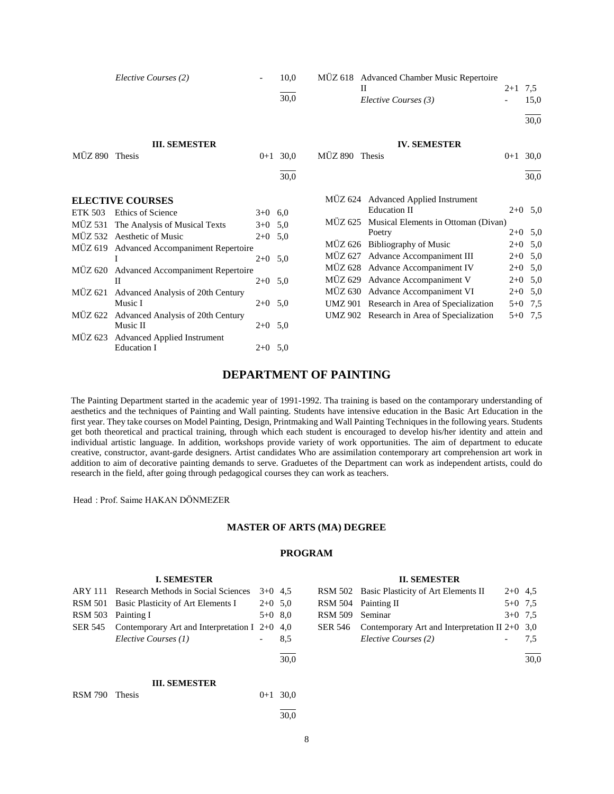|                | Elective Courses (2)                      |           | 10,0       |                | MÜZ 618 Advanced Chamber Music Repertoire<br>H | $2+1$ 7.5 |           |
|----------------|-------------------------------------------|-----------|------------|----------------|------------------------------------------------|-----------|-----------|
|                |                                           |           | 30,0       |                | Elective Courses (3)                           |           | 15,0      |
|                |                                           |           |            |                |                                                |           | 30,0      |
|                | <b>III. SEMESTER</b>                      |           |            |                | <b>IV. SEMESTER</b>                            |           |           |
| MÜZ 890 Thesis |                                           |           | $0+1$ 30.0 | MÜZ 890 Thesis |                                                | $0 + 1$   | 30,0      |
|                |                                           |           | 30,0       |                |                                                |           | 30,0      |
|                | <b>ELECTIVE COURSES</b>                   |           |            |                | MUZ 624 Advanced Applied Instrument            |           |           |
| ETK 503        | <b>Ethics of Science</b>                  | $3+0$ 6.0 |            |                | <b>Education II</b>                            |           | $2+0$ 5,0 |
|                | MÜZ 531 The Analysis of Musical Texts     | $3+0$ 5,0 |            |                | MÜZ 625 Musical Elements in Ottoman (Divan)    |           |           |
|                | MÜZ 532 Aesthetic of Music                | $2+0$ 5.0 |            |                | Poetry                                         |           | $2+0$ 5,0 |
|                | MÜZ 619 Advanced Accompaniment Repertoire |           |            |                | MÜZ 626 Bibliography of Music                  |           | $2+0$ 5,0 |
|                |                                           | $2+0$ 5,0 |            |                | MÜZ 627 Advance Accompaniment III              |           | $2+0$ 5,0 |
|                | MÜZ 620 Advanced Accompaniment Repertoire |           |            |                | MÜZ 628 Advance Accompaniment IV               |           | $2+0$ 5,0 |
|                | $\mathbf{I}$                              | $2+0$ 5,0 |            |                | MÜZ 629 Advance Accompaniment V                |           | $2+0$ 5,0 |
|                | MÜZ 621 Advanced Analysis of 20th Century |           |            |                | MÜZ 630 Advance Accompaniment VI               |           | $2+0$ 5,0 |
|                | Music I                                   | $2+0$ 5.0 |            |                | UMZ 901 Research in Area of Specialization     |           | $5+0$ 7,5 |
| MÜZ 622        | Advanced Analysis of 20th Century         |           |            |                | UMZ 902 Research in Area of Specialization     |           | $5+0$ 7,5 |
|                | Music II                                  | $2+0$ 5,0 |            |                |                                                |           |           |
| MÜZ 623        | <b>Advanced Applied Instrument</b>        |           |            |                |                                                |           |           |
|                | Education I                               | $2+0$ 5.0 |            |                |                                                |           |           |
|                |                                           |           |            |                |                                                |           |           |
|                |                                           |           |            |                |                                                |           |           |

## **DEPARTMENT OF PAINTING**

The Painting Department started in the academic year of 1991-1992. Tha training is based on the contamporary understanding of aesthetics and the techniques of Painting and Wall painting. Students have intensive education in the Basic Art Education in the first year. They take courses on Model Painting, Design, Printmaking and Wall Painting Techniques in the following years. Students get both theoretical and practical training, through which each student is encouraged to develop his/her identity and attein and individual artistic language. In addition, workshops provide variety of work opportunities. The aim of department to educate creative, constructor, avant-garde designers. Artist candidates Who are assimilation contemporary art comprehension art work in addition to aim of decorative painting demands to serve. Graduetes of the Department can work as independent artists, could do research in the field, after going through pedagogical courses they can work as teachers.

Head : Prof. Saime HAKAN DÖNMEZER

#### **MASTER OF ARTS (MA) DEGREE**

|                | <b>I. SEMESTER</b>                              |           |      |                | <b>II. SEMESTER</b>                              |           |      |
|----------------|-------------------------------------------------|-----------|------|----------------|--------------------------------------------------|-----------|------|
| <b>ARY 111</b> | Research Methods in Social Sciences             | $3+0$ 4.5 |      |                | RSM 502 Basic Plasticity of Art Elements II      | $2+0$ 4.5 |      |
| <b>RSM 501</b> | Basic Plasticity of Art Elements I              | $2+0$ 5,0 |      | <b>RSM 504</b> | Painting II                                      | $5+0$ 7.5 |      |
| <b>RSM 503</b> | Painting I                                      | $5+0$ 8,0 |      | <b>RSM 509</b> | Seminar                                          | $3+0$ 7.5 |      |
| <b>SER 545</b> | Contemporary Art and Interpretation I $2+0$ 4,0 |           |      | <b>SER 546</b> | Contemporary Art and Interpretation II $2+0$ 3,0 |           |      |
|                | Elective Courses (1)                            |           | 8,5  |                | Elective Courses (2)                             |           | 7.5  |
|                |                                                 |           | 30.0 |                |                                                  |           | 30,0 |
|                | <b>III. SEMESTER</b>                            |           |      |                |                                                  |           |      |
| <b>RSM 790</b> | <b>Thesis</b>                                   | $0+1$     | 30.0 |                |                                                  |           |      |
|                |                                                 |           | 30.0 |                |                                                  |           |      |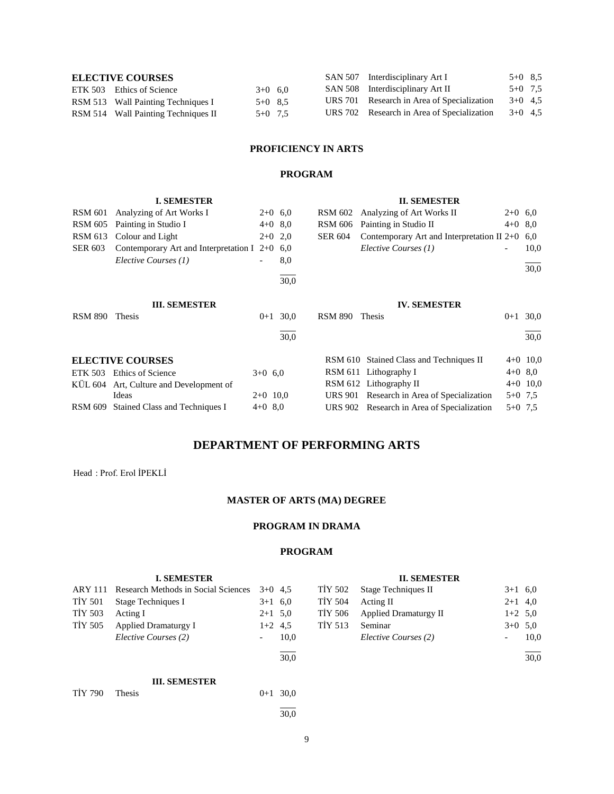| <b>ELECTIVE COURSES</b>            |                                     |           |  | SAN 507 Interdisciplinary Art I            | $5+0$ 8.5 |  |
|------------------------------------|-------------------------------------|-----------|--|--------------------------------------------|-----------|--|
| ETK 503 Ethics of Science          |                                     | $3+0$ 6.0 |  | SAN 508 Interdisciplinary Art II           | $5+0$ 7.5 |  |
| RSM 513 Wall Painting Techniques I |                                     | $5+0$ 8.5 |  | URS 701 Research in Area of Specialization | $3+0$ 4.5 |  |
|                                    | RSM 514 Wall Painting Techniques II | $5+0$ 7.5 |  | URS 702 Research in Area of Specialization | $3+0$ 4.5 |  |

## **PROFICIENCY IN ARTS**

## **PROGRAM**

|                | <b>I. SEMESTER</b>                          |            |      |                | <b>II. SEMESTER</b>                          |           |            |
|----------------|---------------------------------------------|------------|------|----------------|----------------------------------------------|-----------|------------|
| <b>RSM 601</b> | Analyzing of Art Works I                    | $2+0$ 6.0  |      | <b>RSM 602</b> | Analyzing of Art Works II                    | $2+0$ 6,0 |            |
| <b>RSM 605</b> | Painting in Studio I                        | $4+0$ 8.0  |      | <b>RSM 606</b> | Painting in Studio II                        | $4+0$ 8,0 |            |
| <b>RSM 613</b> | Colour and Light                            | $2+0$ 2,0  |      | <b>SER 604</b> | Contemporary Art and Interpretation II $2+0$ |           | 6.0        |
| <b>SER 603</b> | Contemporary Art and Interpretation I $2+0$ |            | 6,0  |                | Elective Courses (1)                         |           | 10,0       |
|                | Elective Courses (1)                        |            | 8,0  |                |                                              |           | 30,0       |
|                |                                             |            | 30,0 |                |                                              |           |            |
|                | <b>III. SEMESTER</b>                        |            |      |                | <b>IV. SEMESTER</b>                          |           |            |
| <b>RSM 890</b> | Thesis                                      | $0 + 1$    | 30,0 | <b>RSM 890</b> | Thesis                                       | $0 + 1$   | 30,0       |
|                |                                             |            | 30,0 |                |                                              |           | 30.0       |
|                | <b>ELECTIVE COURSES</b>                     |            |      |                | RSM 610 Stained Class and Techniques II      |           | $4+0$ 10,0 |
| ETK 503        | Ethics of Science                           | $3+0$ 6.0  |      |                | RSM 611 Lithography I                        | $4+0$ 8.0 |            |
|                | KUL 604 Art, Culture and Development of     |            |      |                | RSM 612 Lithography II                       |           | $4+0$ 10,0 |
|                | Ideas                                       | $2+0$ 10,0 |      | URS 901        | Research in Area of Specialization           | $5+0$ 7.5 |            |
| <b>RSM 609</b> | Stained Class and Techniques I              | $4+0$ 8,0  |      | <b>URS</b> 902 | Research in Area of Specialization           | $5+0$ 7.5 |            |

# **DEPARTMENT OF PERFORMING ARTS**

Head : Prof. Erol İPEKLİ

## **MASTER OF ARTS (MA) DEGREE**

## **PROGRAM IN DRAMA**

| $3+1$ 6.0    |
|--------------|
| $2+1$ 4,0    |
| $1+2$ 5,0    |
| $3+0$<br>5,0 |
| 10,0         |
| 30,0         |
|              |
|              |
|              |
|              |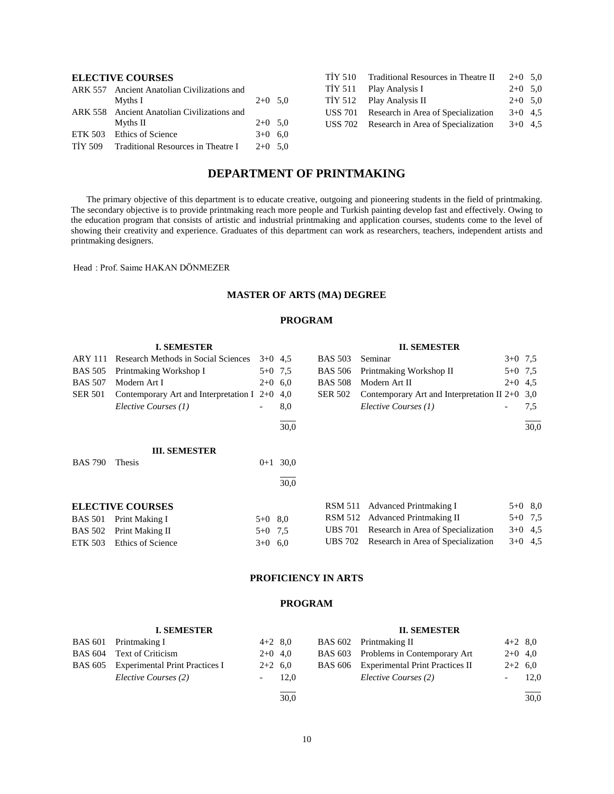## **ELECTIVE COURSES**

| ARK 557 Ancient Anatolian Civilizations and          |           |  |
|------------------------------------------------------|-----------|--|
| Myths I                                              | $2+0$ 5.0 |  |
| ARK 558 Ancient Anatolian Civilizations and          |           |  |
| Myths II                                             | $2+0$ 5.0 |  |
| ETK 503 Ethics of Science                            | $3+0$ 6.0 |  |
| TIY 509 Traditional Resources in Theatre I $2+0$ 5.0 |           |  |

| TİY 510 | Traditional Resources in Theatre II | $2+0$ 5.0 |  |
|---------|-------------------------------------|-----------|--|
| TİY 511 | Play Analysis I                     | $2+0$ 5.0 |  |
| TİY 512 | Play Analysis II                    | $2+0$ 5.0 |  |
| USS 701 | Research in Area of Specialization  | $3+0$ 4.5 |  |
| USS 702 | Research in Area of Specialization  | $3+0$ 4.5 |  |
|         |                                     |           |  |

## **DEPARTMENT OF PRINTMAKING**

 The primary objective of this department is to educate creative, outgoing and pioneering students in the field of printmaking. The secondary objective is to provide printmaking reach more people and Turkish painting develop fast and effectively. Owing to the education program that consists of artistic and industrial printmaking and application courses, students come to the level of showing their creativity and experience. Graduates of this department can work as researchers, teachers, independent artists and printmaking designers.

Head : Prof. Saime HAKAN DÖNMEZER

## **MASTER OF ARTS (MA) DEGREE**

## **PROGRAM**

|                | <b>I. SEMESTER</b>                              |           |      |                | <b>II. SEMESTER</b>                              |           |           |
|----------------|-------------------------------------------------|-----------|------|----------------|--------------------------------------------------|-----------|-----------|
| <b>ARY 111</b> | Research Methods in Social Sciences             | $3+0$ 4.5 |      | <b>BAS 503</b> | Seminar                                          | $3+0$ 7.5 |           |
| <b>BAS 505</b> | Printmaking Workshop I                          | $5+0$ 7.5 |      | <b>BAS 506</b> | Printmaking Workshop II                          | $5+0$ 7.5 |           |
| <b>BAS 507</b> | Modern Art I                                    | $2+0$ 6.0 |      | <b>BAS 508</b> | Modern Art II                                    | $2+0$ 4.5 |           |
| <b>SER 501</b> | Contemporary Art and Interpretation I $2+0$ 4,0 |           |      | <b>SER 502</b> | Contemporary Art and Interpretation II $2+0$ 3,0 |           |           |
|                | Elective Courses (1)                            |           | 8,0  |                | Elective Courses (1)                             |           | 7,5       |
|                |                                                 |           | 30,0 |                |                                                  |           | 30,0      |
|                | <b>III. SEMESTER</b>                            |           |      |                |                                                  |           |           |
| <b>BAS 790</b> | Thesis                                          | $0 + 1$   | 30,0 |                |                                                  |           |           |
|                |                                                 |           | 30,0 |                |                                                  |           |           |
|                | <b>ELECTIVE COURSES</b>                         |           |      | <b>RSM 511</b> | Advanced Printmaking I                           |           | $5+0$ 8.0 |
| <b>BAS 501</b> | Print Making I                                  | $5+0$ 8.0 |      | RSM 512        | <b>Advanced Printmaking II</b>                   |           | $5+0$ 7,5 |
| <b>BAS 502</b> | Print Making II                                 | $5+0$ 7.5 |      | <b>UBS 701</b> | Research in Area of Specialization               | $3+0$     | 4,5       |
| ETK 503        | Ethics of Science                               | $3+0$ 6.0 |      | <b>UBS</b> 702 | Research in Area of Specialization               |           | $3+0$ 4,5 |

## **PROFICIENCY IN ARTS**

| <b>I. SEMESTER</b>                     |                          |      | <b>II. SEMESTER</b>                     |           |           |
|----------------------------------------|--------------------------|------|-----------------------------------------|-----------|-----------|
| BAS 601 Printmaking I                  | $4+2$ 8.0                |      | BAS 602 Printmaking II                  |           | $4+2$ 8,0 |
| BAS 604 Text of Criticism              | $2+0$ 4,0                |      | BAS 603 Problems in Contemporary Art    | $2+0$ 4,0 |           |
| BAS 605 Experimental Print Practices I | $2+2$ 6.0                |      | BAS 606 Experimental Print Practices II |           | $2+2$ 6,0 |
| Elective Courses (2)                   | $\overline{\phantom{a}}$ | 12.0 | Elective Courses (2)                    |           | 12,0      |
|                                        |                          | 30,0 |                                         |           | 30,0      |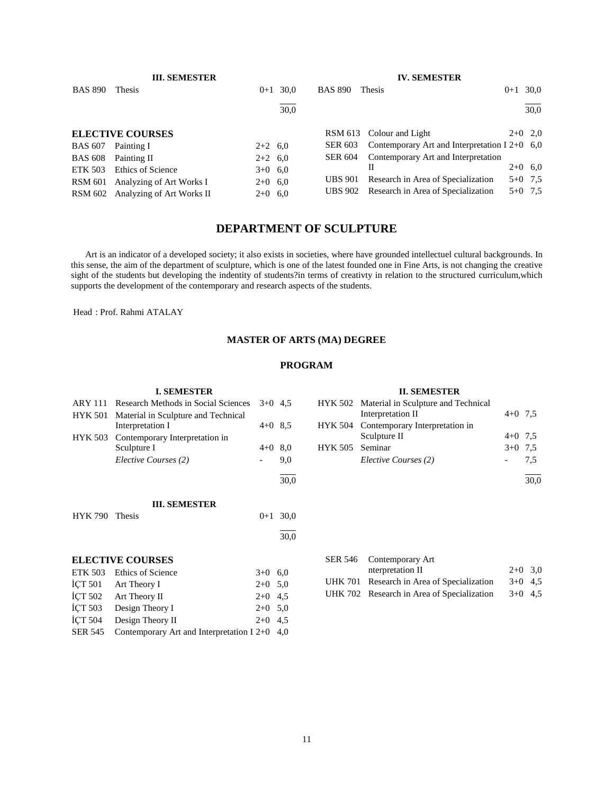|                | <b>III. SEMESTER</b>      |           |      |                | <b>IV. SEMESTER</b>                             |         |           |
|----------------|---------------------------|-----------|------|----------------|-------------------------------------------------|---------|-----------|
| <b>BAS 890</b> | Thesis                    | $0+1$     | 30.0 | <b>BAS 890</b> | Thesis                                          | $0 + 1$ | 30,0      |
|                |                           |           | 30.0 |                |                                                 |         | 30,0      |
|                | <b>ELECTIVE COURSES</b>   |           |      |                | RSM 613 Colour and Light                        |         | $2+0$ 2,0 |
| <b>BAS 607</b> | Painting I                | $2+2$ 6.0 |      | SER 603        | Contemporary Art and Interpretation I $2+0$ 6,0 |         |           |
| <b>BAS 608</b> | Painting II               | $2+2$ 6.0 |      | <b>SER 604</b> | Contemporary Art and Interpretation             |         |           |
| ETK 503        | Ethics of Science         | $3+0$ 6,0 |      |                | Н                                               |         | $2+0$ 6,0 |
| <b>RSM 601</b> | Analyzing of Art Works I  | $2+0$ 6,0 |      | <b>UBS 901</b> | Research in Area of Specialization              |         | $5+0$ 7.5 |
| <b>RSM 602</b> | Analyzing of Art Works II | $2+0$ 6.0 |      | <b>UBS</b> 902 | Research in Area of Specialization              |         | $5+0$ 7.5 |

## **DEPARTMENT OF SCULPTURE**

 Art is an indicator of a developed society; it also exists in societies, where have grounded intellectuel cultural backgrounds. In this sense, the aim of the department of sculpture, which is one of the latest founded one in Fine Arts, is not changing the creative sight of the students but developing the indentity of students?in terms of creativty in relation to the structured curriculum,which supports the development of the contemporary and research aspects of the students.

Head : Prof. Rahmi ATALAY

## **MASTER OF ARTS (MA) DEGREE**

#### **PROGRAM**

#### **I. SEMESTER**

| ARY 111 Research Methods in Social Sciences | $3+0$ 4.5 |      |
|---------------------------------------------|-----------|------|
| HYK 501 Material in Sculpture and Technical |           |      |
| Interpretation I                            | $4+0$ 8.5 |      |
| HYK 503 Contemporary Interpretation in      |           |      |
| Sculpture I                                 | $4+0$ 8.0 |      |
| Elective Courses (2)                        |           | 9.0  |
|                                             |           |      |
|                                             |           | 30.0 |

#### **III. SEMESTER**

| HYK 790 Thesis |                         |           | $0+1$ 30.0 |
|----------------|-------------------------|-----------|------------|
|                |                         |           | 30,0       |
|                | <b>ELECTIVE COURSES</b> |           |            |
| <b>ETK 503</b> | Ethics of Science       | $3+0$     | 6,0        |
|                | ICT 501 Art Theory I    | $2+0$ 5,0 |            |
|                | İÇT 502 Art Theory II   | $2+0$ 4.5 |            |
| <b>İCT 503</b> | Design Theory I         | $2+0$ 5.0 |            |
| <b>İCT 504</b> | Design Theory II        | $2+0$     | 4.5        |

SER 545 Contemporary Art and Interpretation I 2+0 4,0

# SER 546 Contemporary Art

|  | SER 546 Contemporary Art                   |           |  |
|--|--------------------------------------------|-----------|--|
|  | nterpretation II                           | $2+0$ 3.0 |  |
|  | UHK 701 Research in Area of Specialization | $3+0$ 4.5 |  |
|  | UHK 702 Research in Area of Specialization | $3+0$ 4.5 |  |
|  |                                            |           |  |

| <b>II. SEMESTER</b> |                                             |           |     |  |
|---------------------|---------------------------------------------|-----------|-----|--|
|                     | HYK 502 Material in Sculpture and Technical |           |     |  |
|                     | Interpretation II                           | $4+0$ 7.5 |     |  |
|                     | HYK 504 Contemporary Interpretation in      |           |     |  |
|                     | Sculpture II                                | $4+0$ 7.5 |     |  |
| HYK 505 Seminar     |                                             | $3+0$ 7.5 |     |  |
|                     | Elective Courses (2)                        |           | 7.5 |  |
|                     |                                             |           |     |  |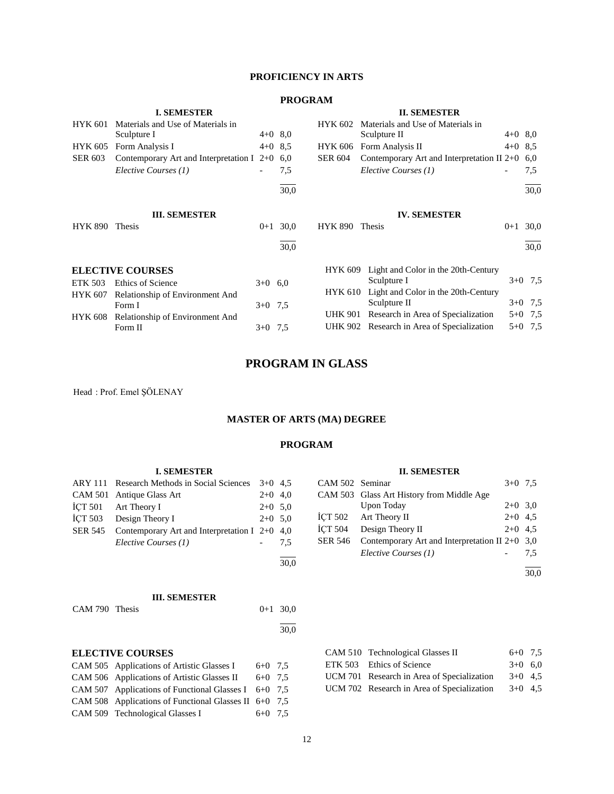## **PROFICIENCY IN ARTS**

## **PROGRAM**

|                | <b>I. SEMESTER</b>                              |           |           |                | <b>II. SEMESTER</b>                          |           |           |
|----------------|-------------------------------------------------|-----------|-----------|----------------|----------------------------------------------|-----------|-----------|
| <b>HYK 601</b> | Materials and Use of Materials in               |           |           | <b>HYK 602</b> | Materials and Use of Materials in            |           |           |
|                | Sculpture I                                     |           | $4+0$ 8,0 |                | Sculpture II                                 | $4+0$ 8,0 |           |
| <b>HYK 605</b> | Form Analysis I                                 |           | $4+0$ 8.5 | <b>HYK 606</b> | Form Analysis II                             | $4+0$ 8.5 |           |
| <b>SER 603</b> | Contemporary Art and Interpretation I $2+0$ 6,0 |           |           | <b>SER 604</b> | Contemporary Art and Interpretation II $2+0$ |           | 6.0       |
|                | Elective Courses (1)                            |           | 7,5       |                | Elective Courses (1)                         |           | 7,5       |
|                |                                                 |           | 30,0      |                |                                              |           | 30,0      |
|                | <b>III. SEMESTER</b>                            |           |           |                | <b>IV. SEMESTER</b>                          |           |           |
| HYK 890        | Thesis                                          | $0 + 1$   | 30,0      | <b>HYK 890</b> | Thesis                                       | $0 + 1$   | 30,0      |
|                |                                                 |           | 30,0      |                |                                              |           | 30,0      |
|                | <b>ELECTIVE COURSES</b>                         |           |           | <b>HYK 609</b> | Light and Color in the 20th-Century          |           |           |
| ETK 503        | Ethics of Science                               | $3+0$ 6.0 |           |                | Sculpture I                                  |           | $3+0$ 7.5 |
| HYK 607        | Relationship of Environment And                 |           |           | <b>HYK 610</b> | Light and Color in the 20th-Century          |           |           |
|                | Form I                                          | $3+0$ 7.5 |           |                | Sculpture II                                 |           | $3+0$ 7,5 |
| HYK 608        | Relationship of Environment And                 |           |           | <b>UHK 901</b> | Research in Area of Specialization           | $5 + 0$   | 7,5       |
|                | Form II                                         | $3+0$ 7,5 |           |                | UHK 902 Research in Area of Specialization   | $5 + 0$   | 7,5       |
|                |                                                 |           |           |                |                                              |           |           |

## **PROGRAM IN GLASS**

Head : Prof. Emel ŞÖLENAY

## **MASTER OF ARTS (MA) DEGREE**

#### **PROGRAM**

| <b>I. SEMESTER</b> |  |  |  |
|--------------------|--|--|--|
|                    |  |  |  |

| <b>ARY 111</b> | <b>Research Methods in Social Sciences</b>  | $3+0$   | 4,5       |
|----------------|---------------------------------------------|---------|-----------|
| <b>CAM 501</b> | Antique Glass Art                           | $2+0$   | 4,0       |
| ICT 501        | Art Theory I                                |         | $2+0$ 5.0 |
| ICT 503        | Design Theory I                             | $2+0$   | 5,0       |
| SER 545        | Contemporary Art and Interpretation I $2+0$ |         | 4,0       |
|                | Elective Courses (1)                        |         | 7.5       |
|                |                                             |         | 30,0      |
|                |                                             |         |           |
|                | <b>III. SEMESTER</b>                        |         |           |
| CAM 790 Thesis |                                             | 0+1     | 30,0      |
|                |                                             |         | 30,0      |
|                | <b>ELECTIVE COURSES</b>                     |         |           |
|                | CAM 505 Applications of Artistic Glasses I  | 6+0     | 7,5       |
|                | CAM 506 Applications of Artistic Glasses II | $6 + 0$ | 7.5       |
| CAM 507        | Applications of Functional Glasses I        | $6 + 0$ | 7,5       |

CAM 508 Applications of Functional Glasses II 6+0 7,5 CAM 509 Technological Glasses I 6+0 7,5

#### **II. SEMESTER**

| CAM 502 Seminar |                                                          | $3+0$ 7.5 |     |
|-----------------|----------------------------------------------------------|-----------|-----|
|                 | CAM 503 Glass Art History from Middle Age                |           |     |
|                 | Upon Today                                               | $2+0$ 3.0 |     |
|                 | ICT 502 Art Theory II                                    | $2+0$ 4.5 |     |
| ICT 504         | Design Theory II                                         | $2+0$ 4.5 |     |
|                 | SER 546 Contemporary Art and Interpretation II 2+0 $3,0$ |           |     |
|                 | Elective Courses (1)                                     |           | 7.5 |
|                 |                                                          |           |     |

30,0

| CAM 510 Technological Glasses II           | $6+0$ 7.5 |  |
|--------------------------------------------|-----------|--|
| ETK 503 Ethics of Science                  | $3+0$ 6.0 |  |
| UCM 701 Research in Area of Specialization | $3+0$ 4.5 |  |
| UCM 702 Research in Area of Specialization | $3+0$ 4.5 |  |
|                                            |           |  |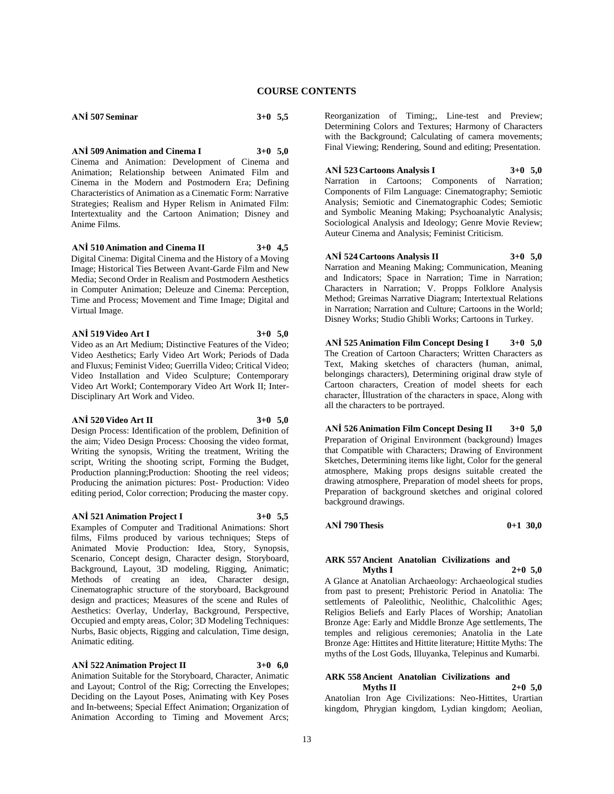**ANİ 507 Seminar 3+0 5,5**

**ANİ 509 Animation and Cinema I 3+0 5,0** Cinema and Animation: Development of Cinema and Animation; Relationship between Animated Film and Cinema in the Modern and Postmodern Era; Defining Characteristics of Animation as a Cinematic Form: Narrative Strategies; Realism and Hyper Relism in Animated Film: Intertextuality and the Cartoon Animation; Disney and Anime Films.

**ANİ 510 Animation and Cinema II 3+0 4,5** Digital Cinema: Digital Cinema and the History of a Moving Image; Historical Ties Between Avant-Garde Film and New Media; Second Order in Realism and Postmodern Aesthetics in Computer Animation; Deleuze and Cinema: Perception, Time and Process; Movement and Time Image; Digital and Virtual Image.

#### **ANİ 519 Video Art I 3+0 5,0**

Video as an Art Medium; Distinctive Features of the Video; Video Aesthetics; Early Video Art Work; Periods of Dada and Fluxus; Feminist Video; Guerrilla Video; Critical Video; Video Installation and Video Sculpture; Contemporary Video Art WorkI; Contemporary Video Art Work II; Inter-Disciplinary Art Work and Video.

#### **ANİ 520 Video Art II 3+0 5,0**

Design Process: Identification of the problem, Definition of the aim; Video Design Process: Choosing the video format, Writing the synopsis, Writing the treatment, Writing the script, Writing the shooting script, Forming the Budget, Production planning;Production: Shooting the reel videos; Producing the animation pictures: Post- Production: Video editing period, Color correction; Producing the master copy.

#### **ANİ 521 Animation Project I 3+0 5,5**

Examples of Computer and Traditional Animations: Short films, Films produced by various techniques; Steps of Animated Movie Production: Idea, Story, Synopsis, Scenario, Concept design, Character design, Storyboard, Background, Layout, 3D modeling, Rigging, Animatic; Methods of creating an idea, Character design, Cinematographic structure of the storyboard, Background design and practices; Measures of the scene and Rules of Aesthetics: Overlay, Underlay, Background, Perspective, Occupied and empty areas, Color; 3D Modeling Techniques: Nurbs, Basic objects, Rigging and calculation, Time design, Animatic editing.

#### **ANİ 522 Animation Project II 3+0 6,0**

Animation Suitable for the Storyboard, Character, Animatic and Layout; Control of the Rig; Correcting the Envelopes; Deciding on the Layout Poses, Animating with Key Poses and In-betweens; Special Effect Animation; Organization of Animation According to Timing and Movement Arcs;

Reorganization of Timing;, Line-test and Preview; Determining Colors and Textures; Harmony of Characters with the Background; Calculating of camera movements; Final Viewing; Rendering, Sound and editing; Presentation.

#### **ANİ 523 Cartoons Analysis I 3+0 5,0**

Narration in Cartoons; Components of Narration; Components of Film Language: Cinematography; Semiotic Analysis; Semiotic and Cinematographic Codes; Semiotic and Symbolic Meaning Making; Psychoanalytic Analysis; Sociological Analysis and Ideology; Genre Movie Review; Auteur Cinema and Analysis; Feminist Criticism.

#### **ANİ 524 Cartoons Analysis II 3+0 5,0**

Narration and Meaning Making; Communication, Meaning and Indicators; Space in Narration; Time in Narration; Characters in Narration; V. Propps Folklore Analysis Method; Greimas Narrative Diagram; Intertextual Relations in Narration; Narration and Culture; Cartoons in the World; Disney Works; Studio Ghibli Works; Cartoons in Turkey.

**ANİ 525 Animation Film Concept Desing I 3+0 5,0** The Creation of Cartoon Characters; Written Characters as Text, Making sketches of characters (human, animal, belongings characters), Determining original draw style of Cartoon characters, Creation of model sheets for each character, İllustration of the characters in space, Along with all the characters to be portrayed.

**ANİ 526 Animation Film Concept Desing II 3+0 5,0** Preparation of Original Environment (background) İmages that Compatible with Characters; Drawing of Environment Sketches, Determining items like light, Color for the general atmosphere, Making props designs suitable created the drawing atmosphere, Preparation of model sheets for props, Preparation of background sketches and original colored background drawings.

#### **ANİ 790 Thesis 0+1 30,0**

#### **ARK 557 Ancient Anatolian Civilizations and Myths I 2+0 5,0**

A Glance at Anatolian Archaeology: Archaeological studies from past to present; Prehistoric Period in Anatolia: The settlements of Paleolithic, Neolithic, Chalcolithic Ages; Religios Beliefs and Early Places of Worship; Anatolian Bronze Age: Early and Middle Bronze Age settlements, The temples and religious ceremonies; Anatolia in the Late Bronze Age: Hittites and Hittite literature; Hittite Myths: The myths of the Lost Gods, Illuyanka, Telepinus and Kumarbi.

#### **ARK 558 Ancient Anatolian Civilizations and Myths II 2+0 5,0**

Anatolian Iron Age Civilizations: Neo-Hittites, Urartian kingdom, Phrygian kingdom, Lydian kingdom; Aeolian,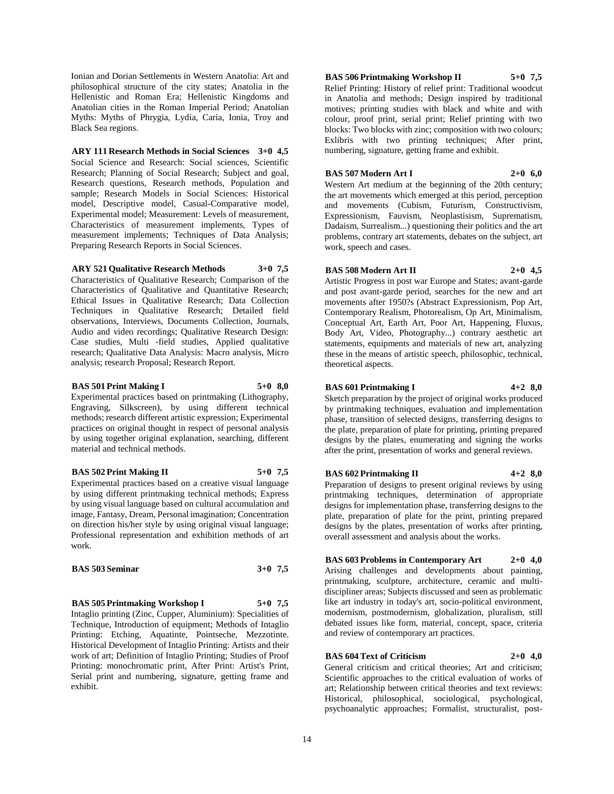Ionian and Dorian Settlements in Western Anatolia: Art and philosophical structure of the city states; Anatolia in the Hellenistic and Roman Era; Hellenistic Kingdoms and Anatolian cities in the Roman Imperial Period; Anatolian Myths: Myths of Phrygia, Lydia, Caria, Ionia, Troy and Black Sea regions.

#### **ARY 111 Research Methods in Social Sciences 3+0 4,5**

Social Science and Research: Social sciences, Scientific Research; Planning of Social Research; Subject and goal, Research questions, Research methods, Population and sample; Research Models in Social Sciences: Historical model, Descriptive model, Casual-Comparative model, Experimental model; Measurement: Levels of measurement, Characteristics of measurement implements, Types of measurement implements; Techniques of Data Analysis; Preparing Research Reports in Social Sciences.

#### **ARY 521 Qualitative Research Methods 3+0 7,5**

Characteristics of Qualitative Research; Comparison of the Characteristics of Qualitative and Quantitative Research; Ethical Issues in Qualitative Research; Data Collection Techniques in Qualitative Research; Detailed field observations, Interviews, Documents Collection, Journals, Audio and video recordings; Qualitative Research Design: Case studies, Multi -field studies, Applied qualitative research; Qualitative Data Analysis: Macro analysis, Micro analysis; research Proposal; Research Report.

#### **BAS 501 Print Making I 5+0 8,0**

Experimental practices based on printmaking (Lithography, Engraving, Silkscreen), by using different technical methods; research different artistic expression; Experimental practices on original thought in respect of personal analysis by using together original explanation, searching, different material and technical methods.

#### **BAS 502 Print Making II 5+0 7,5**

Experimental practices based on a creative visual language by using different printmaking technical methods; Express by using visual language based on cultural accumulation and image, Fantasy, Dream, Personal imagination; Concentration on direction his/her style by using original visual language; Professional representation and exhibition methods of art work.

#### **BAS 503 Seminar 3+0 7,5**

**BAS 505 Printmaking Workshop I 5+0 7,5**

Intaglio printing (Zinc, Cupper, Aluminium): Specialities of Technique, Introduction of equipment; Methods of Intaglio Printing: Etching, Aquatinte, Pointseche, Mezzotinte. Historical Development of Intaglio Printing: Artists and their work of art; Definition of Intaglio Printing; Studies of Proof Printing: monochromatic print, After Print: Artist's Print, Serial print and numbering, signature, getting frame and exhibit.

#### **BAS 506 Printmaking Workshop II 5+0 7,5**

Relief Printing: History of relief print: Traditional woodcut in Anatolia and methods; Design inspired by traditional motives; printing studies with black and white and with colour, proof print, serial print; Relief printing with two blocks: Two blocks with zinc; composition with two colours; Exlibris with two printing techniques; After print, numbering, signature, getting frame and exhibit.

#### **BAS 507 Modern Art I 2+0 6,0**

Western Art medium at the beginning of the 20th century; the art movements which emerged at this period, perception and movements (Cubism, Futurism, Constructivism, Expressionism, Fauvism, Neoplastisism, Suprematism, Dadaism, Surrealism...) questioning their politics and the art problems, contrary art statements, debates on the subject, art work, speech and cases.

#### **BAS 508 Modern Art II 2+0 4,5**

Artistic Progress in post war Europe and States; avant-garde and post avant-garde period, searches for the new and art movements after 1950?s (Abstract Expressionism, Pop Art, Contemporary Realism, Photorealism, Op Art, Minimalism, Conceptual Art, Earth Art, Poor Art, Happening, Fluxus, Body Art, Video, Photography...) contrary aesthetic art statements, equipments and materials of new art, analyzing these in the means of artistic speech, philosophic, technical, theoretical aspects.

#### **BAS 601 Printmaking I 4+2 8,0**

Sketch preparation by the project of original works produced by printmaking techniques, evaluation and implementation phase, transition of selected designs, transferring designs to the plate, preparation of plate for printing, printing prepared designs by the plates, enumerating and signing the works after the print, presentation of works and general reviews.

#### **BAS 602 Printmaking II 4+2 8,0**

Preparation of designs to present original reviews by using printmaking techniques, determination of appropriate designs for implementation phase, transferring designs to the plate, preparation of plate for the print, printing prepared designs by the plates, presentation of works after printing, overall assessment and analysis about the works.

## **BAS 603 Problems in Contemporary Art 2+0 4,0**

Arising challenges and developments about painting, printmaking, sculpture, architecture, ceramic and multidiscipliner areas; Subjects discussed and seen as problematic like art industry in today's art, socio-political environment, modernism, postmodernism, globalization, pluralism, still debated issues like form, material, concept, space, criteria and review of contemporary art practices.

#### **BAS 604 Text of Criticism 2+0 4,0**

General criticism and critical theories; Art and criticism; Scientific approaches to the critical evaluation of works of art; Relationship between critical theories and text reviews: Historical, philosophical, sociological, psychological, psychoanalytic approaches; Formalist, structuralist, post-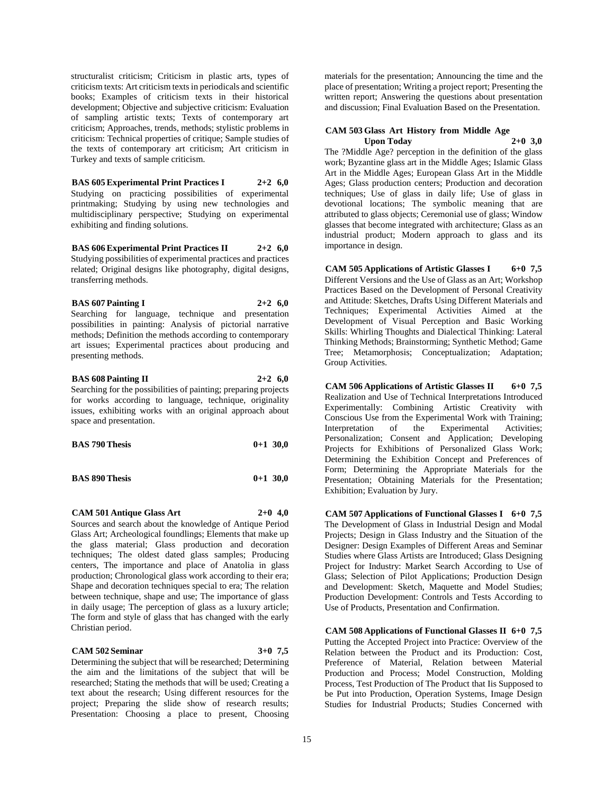structuralist criticism; Criticism in plastic arts, types of criticism texts: Art criticism texts in periodicals and scientific books; Examples of criticism texts in their historical development; Objective and subjective criticism: Evaluation of sampling artistic texts; Texts of contemporary art criticism; Approaches, trends, methods; stylistic problems in criticism: Technical properties of critique; Sample studies of the texts of contemporary art criticism; Art criticism in Turkey and texts of sample criticism.

**BAS 605 Experimental Print Practices I 2+2 6,0** Studying on practicing possibilities of experimental printmaking; Studying by using new technologies and multidisciplinary perspective; Studying on experimental exhibiting and finding solutions.

**BAS 606 Experimental Print Practices II 2+2 6,0** Studying possibilities of experimental practices and practices related; Original designs like photography, digital designs, transferring methods.

**BAS 607 Painting I 2+2 6,0** Searching for language, technique and presentation possibilities in painting: Analysis of pictorial narrative methods; Definition the methods according to contemporary art issues; Experimental practices about producing and presenting methods.

**BAS 608 Painting II 2+2 6,0** Searching for the possibilities of painting; preparing projects for works according to language, technique, originality issues, exhibiting works with an original approach about

| <b>BAS 790 Thesis</b> | $0+1$ 30,0 |
|-----------------------|------------|
|                       |            |

**BAS 890 Thesis 0+1 30,0**

**CAM 501 Antique Glass Art 2+0 4,0** Sources and search about the knowledge of Antique Period Glass Art; Archeological foundlings; Elements that make up the glass material; Glass production and decoration techniques; The oldest dated glass samples; Producing centers, The importance and place of Anatolia in glass production; Chronological glass work according to their era; Shape and decoration techniques special to era; The relation between technique, shape and use; The importance of glass in daily usage; The perception of glass as a luxury article; The form and style of glass that has changed with the early Christian period.

#### **CAM 502 Seminar 3+0 7,5**

space and presentation.

Determining the subject that will be researched; Determining the aim and the limitations of the subject that will be researched; Stating the methods that will be used; Creating a text about the research; Using different resources for the project; Preparing the slide show of research results; Presentation: Choosing a place to present, Choosing

materials for the presentation; Announcing the time and the place of presentation; Writing a project report; Presenting the written report; Answering the questions about presentation and discussion; Final Evaluation Based on the Presentation.

#### **CAM 503 Glass Art History from Middle Age Upon Today 2+0 3,0**

The ?Middle Age? perception in the definition of the glass work; Byzantine glass art in the Middle Ages; Islamic Glass Art in the Middle Ages; European Glass Art in the Middle Ages; Glass production centers; Production and decoration techniques; Use of glass in daily life; Use of glass in devotional locations; The symbolic meaning that are attributed to glass objects; Ceremonial use of glass; Window glasses that become integrated with architecture; Glass as an industrial product; Modern approach to glass and its importance in design.

**CAM 505 Applications of Artistic Glasses I 6+0 7,5** Different Versions and the Use of Glass as an Art; Workshop Practices Based on the Development of Personal Creativity and Attitude: Sketches, Drafts Using Different Materials and Techniques; Experimental Activities Aimed at the Development of Visual Perception and Basic Working Skills: Whirling Thoughts and Dialectical Thinking: Lateral Thinking Methods; Brainstorming; Synthetic Method; Game Tree; Metamorphosis; Conceptualization; Adaptation; Group Activities.

**CAM 506 Applications of Artistic Glasses II 6+0 7,5** Realization and Use of Technical Interpretations Introduced Experimentally: Combining Artistic Creativity with Conscious Use from the Experimental Work with Training; Interpretation of the Experimental Activities; Personalization; Consent and Application; Developing Projects for Exhibitions of Personalized Glass Work; Determining the Exhibition Concept and Preferences of Form; Determining the Appropriate Materials for the Presentation; Obtaining Materials for the Presentation; Exhibition; Evaluation by Jury.

**CAM 507 Applications of Functional Glasses I 6+0 7,5** The Development of Glass in Industrial Design and Modal Projects; Design in Glass Industry and the Situation of the Designer: Design Examples of Different Areas and Seminar Studies where Glass Artists are Introduced; Glass Designing Project for Industry: Market Search According to Use of Glass; Selection of Pilot Applications; Production Design and Development: Sketch, Maquette and Model Studies; Production Development: Controls and Tests According to Use of Products, Presentation and Confirmation.

**CAM 508 Applications of Functional Glasses II 6+0 7,5** Putting the Accepted Project into Practice: Overview of the Relation between the Product and its Production: Cost, Preference of Material, Relation between Material Production and Process; Model Construction, Molding Process, Test Production of The Product that Iis Supposed to be Put into Production, Operation Systems, Image Design Studies for Industrial Products; Studies Concerned with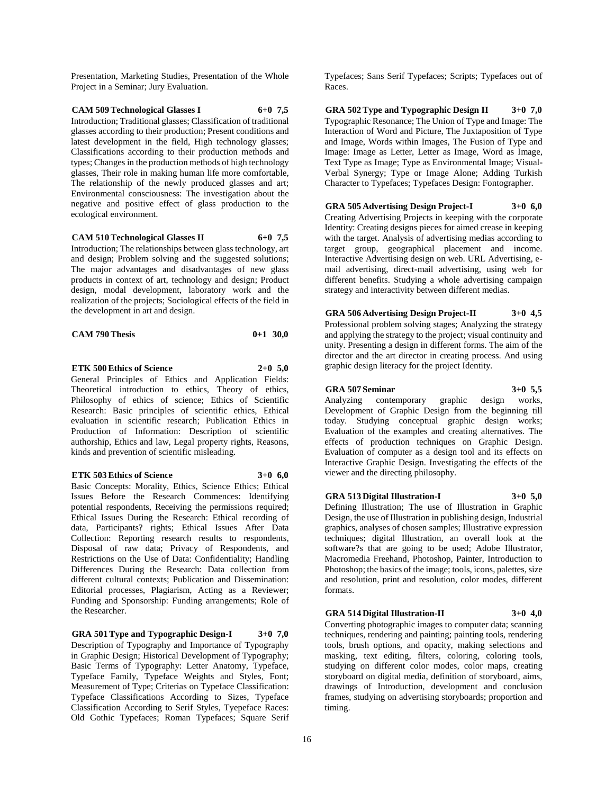Presentation, Marketing Studies, Presentation of the Whole Project in a Seminar; Jury Evaluation.

**CAM 509 Technological Glasses I 6+0 7,5** Introduction; Traditional glasses; Classification of traditional glasses according to their production; Present conditions and latest development in the field, High technology glasses; Classifications according to their production methods and types; Changes in the production methods of high technology glasses, Their role in making human life more comfortable, The relationship of the newly produced glasses and art; Environmental consciousness: The investigation about the negative and positive effect of glass production to the ecological environment.

## **CAM 510 Technological Glasses II 6+0 7,5**

Introduction; The relationships between glass technology, art and design; Problem solving and the suggested solutions; The major advantages and disadvantages of new glass products in context of art, technology and design; Product design, modal development, laboratory work and the realization of the projects; Sociological effects of the field in the development in art and design.

| <b>CAM 790 Thesis</b> | $0+1$ 30,0 |  |
|-----------------------|------------|--|
|-----------------------|------------|--|

**ETK 500 Ethics of Science 2+0 5,0** General Principles of Ethics and Application Fields: Theoretical introduction to ethics, Theory of ethics, Philosophy of ethics of science; Ethics of Scientific Research: Basic principles of scientific ethics, Ethical evaluation in scientific research; Publication Ethics in Production of Information: Description of scientific authorship, Ethics and law, Legal property rights, Reasons, kinds and prevention of scientific misleading.

#### **ETK 503 Ethics of Science 3+0 6,0**

Basic Concepts: Morality, Ethics, Science Ethics; Ethical Issues Before the Research Commences: Identifying potential respondents, Receiving the permissions required; Ethical Issues During the Research: Ethical recording of data, Participants? rights; Ethical Issues After Data Collection: Reporting research results to respondents, Disposal of raw data; Privacy of Respondents, and Restrictions on the Use of Data: Confidentiality; Handling Differences During the Research: Data collection from different cultural contexts; Publication and Dissemination: Editorial processes, Plagiarism, Acting as a Reviewer; Funding and Sponsorship: Funding arrangements; Role of the Researcher.

**GRA 501 Type and Typographic Design-I 3+0 7,0** Description of Typography and Importance of Typography in Graphic Design; Historical Development of Typography; Basic Terms of Typography: Letter Anatomy, Typeface, Typeface Family, Typeface Weights and Styles, Font; Measurement of Type; Criterias on Typeface Classification: Typeface Classifications According to Sizes, Typeface Classification According to Serif Styles, Tyepeface Races: Old Gothic Typefaces; Roman Typefaces; Square Serif

Typefaces; Sans Serif Typefaces; Scripts; Typefaces out of Races.

**GRA 502 Type and Typographic Design II 3+0 7,0** Typographic Resonance; The Union of Type and Image: The Interaction of Word and Picture, The Juxtaposition of Type and Image, Words within Images, The Fusion of Type and Image: Image as Letter, Letter as Image, Word as Image, Text Type as Image; Type as Environmental Image; Visual-Verbal Synergy; Type or Image Alone; Adding Turkish Character to Typefaces; Typefaces Design: Fontographer.

**GRA 505 Advertising Design Project-I 3+0 6,0** Creating Advertising Projects in keeping with the corporate Identity: Creating designs pieces for aimed crease in keeping with the target. Analysis of advertising medias according to target group, geographical placement and income. Interactive Advertising design on web. URL Advertising, email advertising, direct-mail advertising, using web for different benefits. Studying a whole advertising campaign strategy and interactivity between different medias.

**GRA 506 Advertising Design Project-II 3+0 4,5** Professional problem solving stages; Analyzing the strategy and applying the strategy to the project; visual continuity and unity. Presenting a design in different forms. The aim of the director and the art director in creating process. And using graphic design literacy for the project Identity.

#### **GRA 507 Seminar 3+0 5,5**

Analyzing contemporary graphic design works, Development of Graphic Design from the beginning till today. Studying conceptual graphic design works; Evaluation of the examples and creating alternatives. The effects of production techniques on Graphic Design. Evaluation of computer as a design tool and its effects on Interactive Graphic Design. Investigating the effects of the viewer and the directing philosophy.

**GRA 513 Digital Illustration-I 3+0 5,0** Defining Illustration; The use of Illustration in Graphic

Design, the use of Illustration in publishing design, Industrial graphics, analyses of chosen samples; Illustrative expression techniques; digital Illustration, an overall look at the software?s that are going to be used; Adobe Illustrator, Macromedia Freehand, Photoshop, Painter, Introduction to Photoshop; the basics of the image; tools, icons, palettes, size and resolution, print and resolution, color modes, different formats.

## **GRA 514 Digital Illustration-II 3+0 4,0**

Converting photographic images to computer data; scanning techniques, rendering and painting; painting tools, rendering tools, brush options, and opacity, making selections and masking, text editing, filters, coloring, coloring tools, studying on different color modes, color maps, creating storyboard on digital media, definition of storyboard, aims, drawings of Introduction, development and conclusion frames, studying on advertising storyboards; proportion and timing.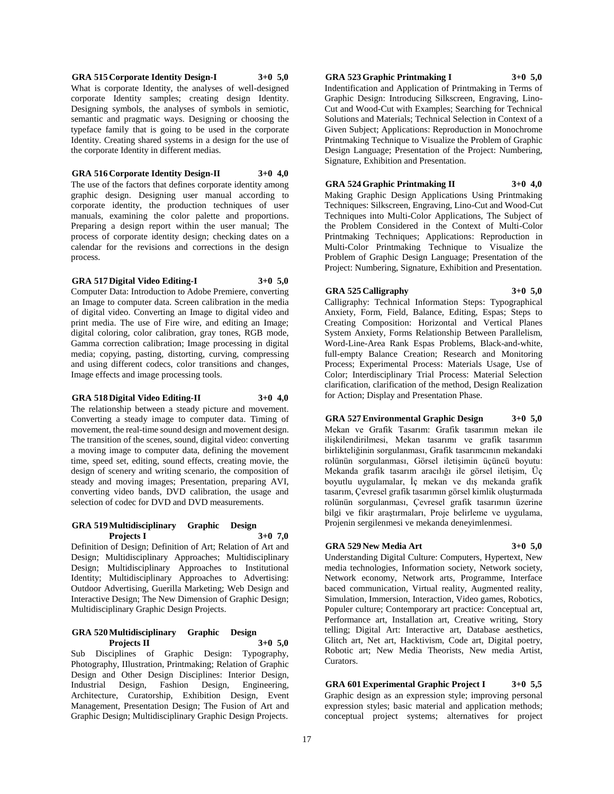#### **GRA 515 Corporate Identity Design-I 3+0 5,0**

the corporate Identity in different medias.

What is corporate Identity, the analyses of well-designed corporate Identity samples; creating design Identity. Designing symbols, the analyses of symbols in semiotic, semantic and pragmatic ways. Designing or choosing the typeface family that is going to be used in the corporate Identity. Creating shared systems in a design for the use of

#### **GRA 516 Corporate Identity Design-II 3+0 4,0**

The use of the factors that defines corporate identity among graphic design. Designing user manual according to corporate identity, the production techniques of user manuals, examining the color palette and proportions. Preparing a design report within the user manual; The process of corporate identity design; checking dates on a calendar for the revisions and corrections in the design process.

#### **GRA 517 Digital Video Editing-I 3+0 5,0**

Computer Data: Introduction to Adobe Premiere, converting an Image to computer data. Screen calibration in the media of digital video. Converting an Image to digital video and print media. The use of Fire wire, and editing an Image; digital coloring, color calibration, gray tones, RGB mode, Gamma correction calibration; Image processing in digital media; copying, pasting, distorting, curving, compressing and using different codecs, color transitions and changes, Image effects and image processing tools.

#### **GRA 518 Digital Video Editing-II 3+0 4,0**

The relationship between a steady picture and movement. Converting a steady image to computer data. Timing of movement, the real-time sound design and movement design. The transition of the scenes, sound, digital video: converting a moving image to computer data, defining the movement time, speed set, editing, sound effects, creating movie, the design of scenery and writing scenario, the composition of steady and moving images; Presentation, preparing AVI, converting video bands, DVD calibration, the usage and selection of codec for DVD and DVD measurements.

#### **GRA 519 Multidisciplinary Graphic Design Projects I 3+0 7,0**

Definition of Design; Definition of Art; Relation of Art and Design; Multidisciplinary Approaches; Multidisciplinary Design; Multidisciplinary Approaches to Institutional Identity; Multidisciplinary Approaches to Advertising: Outdoor Advertising, Guerilla Marketing; Web Design and Interactive Design; The New Dimension of Graphic Design; Multidisciplinary Graphic Design Projects.

#### **GRA 520 Multidisciplinary Graphic Design Projects II 3+0 5,0**

Sub Disciplines of Graphic Design: Typography, Photography, IIlustration, Printmaking; Relation of Graphic Design and Other Design Disciplines: Interior Design, Industrial Design, Fashion Design, Engineering, Architecture, Curatorship, Exhibition Design, Event Management, Presentation Design; The Fusion of Art and Graphic Design; Multidisciplinary Graphic Design Projects.

#### **GRA 523 Graphic Printmaking I 3+0 5,0**

Indentification and Application of Printmaking in Terms of Graphic Design: Introducing Silkscreen, Engraving, Lino-Cut and Wood-Cut with Examples; Searching for Technical Solutions and Materials; Technical Selection in Context of a Given Subject; Applications: Reproduction in Monochrome Printmaking Technique to Visualize the Problem of Graphic Design Language; Presentation of the Project: Numbering, Signature, Exhibition and Presentation.

#### **GRA 524 Graphic Printmaking II 3+0 4,0**

Making Graphic Design Applications Using Printmaking Techniques: Silkscreen, Engraving, Lino-Cut and Wood-Cut Techniques into Multi-Color Applications, The Subject of the Problem Considered in the Context of Multi-Color Printmaking Techniques; Applications: Reproduction in Multi-Color Printmaking Technique to Visualize the Problem of Graphic Design Language; Presentation of the Project: Numbering, Signature, Exhibition and Presentation.

#### **GRA 525 Calligraphy 3+0 5,0**

Calligraphy: Technical Information Steps: Typographical Anxiety, Form, Field, Balance, Editing, Espas; Steps to Creating Composition: Horizontal and Vertical Planes System Anxiety, Forms Relationship Between Parallelism, Word-Line-Area Rank Espas Problems, Black-and-white, full-empty Balance Creation; Research and Monitoring Process; Experimental Process: Materials Usage, Use of Color; Interdisciplinary Trial Process: Material Selection clarification, clarification of the method, Design Realization for Action; Display and Presentation Phase.

**GRA 527 Environmental Graphic Design 3+0 5,0** Mekan ve Grafik Tasarım: Grafik tasarımın mekan ile ilişkilendirilmesi, Mekan tasarımı ve grafik tasarımın birlikteliğinin sorgulanması, Grafik tasarımcının mekandaki rolünün sorgulanması, Görsel iletişimin üçüncü boyutu: Mekanda grafik tasarım aracılığı ile görsel iletişim, Üç boyutlu uygulamalar, İç mekan ve dış mekanda grafik tasarım, Çevresel grafik tasarımın görsel kimlik oluşturmada rolünün sorgulanması, Çevresel grafik tasarımın üzerine bilgi ve fikir araştırmaları, Proje belirleme ve uygulama, Projenin sergilenmesi ve mekanda deneyimlenmesi.

## **GRA 529 New Media Art 3+0 5,0**

Understanding Digital Culture: Computers, Hypertext, New media technologies, Information society, Network society, Network economy, Network arts, Programme, Interface baced communication, Virtual reality, Augmented reality, Simulation, Immersion, Interaction, Video games, Robotics, Populer culture; Contemporary art practice: Conceptual art, Performance art, Installation art, Creative writing, Story telling; Digital Art: Interactive art, Database aesthetics, Glitch art, Net art, Hacktivism, Code art, Digital poetry, Robotic art; New Media Theorists, New media Artist, Curators.

**GRA 601 Experimental Graphic Project I 3+0 5,5** Graphic design as an expression style; improving personal expression styles; basic material and application methods; conceptual project systems; alternatives for project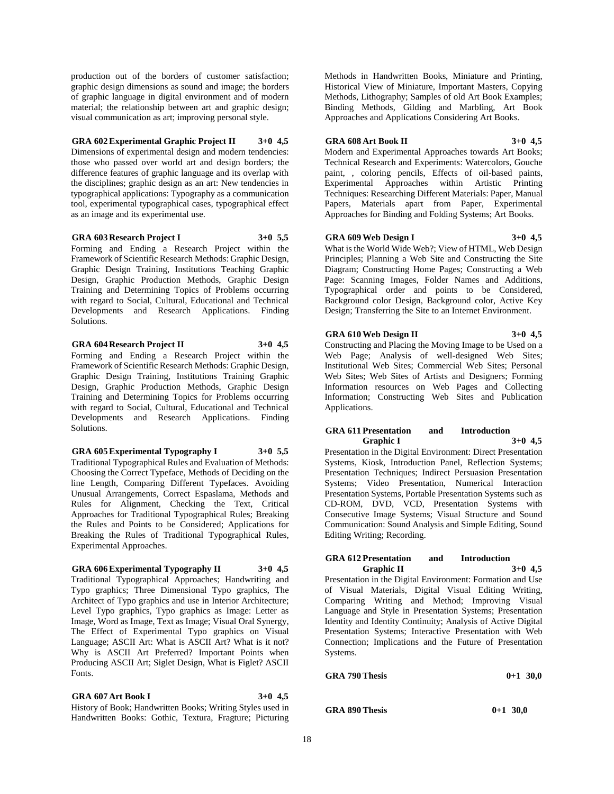production out of the borders of customer satisfaction; graphic design dimensions as sound and image; the borders of graphic language in digital environment and of modern material; the relationship between art and graphic design; visual communication as art; improving personal style.

#### **GRA 602 Experimental Graphic Project II 3+0 4,5**

Dimensions of experimental design and modern tendencies: those who passed over world art and design borders; the difference features of graphic language and its overlap with the disciplines; graphic design as an art: New tendencies in typographical applications: Typography as a communication tool, experimental typographical cases, typographical effect as an image and its experimental use.

#### **GRA 603 Research Project I 3+0 5,5**

Forming and Ending a Research Project within the Framework of Scientific Research Methods: Graphic Design, Graphic Design Training, Institutions Teaching Graphic Design, Graphic Production Methods, Graphic Design Training and Determining Topics of Problems occurring with regard to Social, Cultural, Educational and Technical Developments and Research Applications. Finding Solutions.

**GRA 604 Research Project II 3+0 4,5**

Forming and Ending a Research Project within the Framework of Scientific Research Methods: Graphic Design, Graphic Design Training, Institutions Training Graphic Design, Graphic Production Methods, Graphic Design Training and Determining Topics for Problems occurring with regard to Social, Cultural, Educational and Technical Developments and Research Applications. Finding Solutions.

**GRA 605 Experimental Typography I 3+0 5,5** Traditional Typographical Rules and Evaluation of Methods: Choosing the Correct Typeface, Methods of Deciding on the line Length, Comparing Different Typefaces. Avoiding Unusual Arrangements, Correct Espaslama, Methods and Rules for Alignment, Checking the Text, Critical Approaches for Traditional Typographical Rules; Breaking the Rules and Points to be Considered; Applications for Breaking the Rules of Traditional Typographical Rules, Experimental Approaches.

#### **GRA 606 Experimental Typography II 3+0 4,5**

Traditional Typographical Approaches; Handwriting and Typo graphics; Three Dimensional Typo graphics, The Architect of Typo graphics and use in Interior Architecture; Level Typo graphics, Typo graphics as Image: Letter as Image, Word as Image, Text as Image; Visual Oral Synergy, The Effect of Experimental Typo graphics on Visual Language; ASCII Art: What is ASCII Art? What is it not? Why is ASCII Art Preferred? Important Points when Producing ASCII Art; Siglet Design, What is Figlet? ASCII Fonts.

#### **GRA 607 Art Book I 3+0 4,5**

History of Book; Handwritten Books; Writing Styles used in Handwritten Books: Gothic, Textura, Fragture; Picturing

Methods in Handwritten Books, Miniature and Printing, Historical View of Miniature, Important Masters, Copying Methods, Lithography; Samples of old Art Book Examples; Binding Methods, Gilding and Marbling, Art Book Approaches and Applications Considering Art Books.

#### **GRA 608 Art Book II 3+0 4,5**

Modern and Experimental Approaches towards Art Books; Technical Research and Experiments: Watercolors, Gouche paint, , coloring pencils, Effects of oil-based paints, Experimental Approaches within Artistic Printing Techniques: Researching Different Materials: Paper, Manual Papers, Materials apart from Paper, Experimental Approaches for Binding and Folding Systems; Art Books.

#### **GRA 609 Web Design I 3+0 4,5**

What is the World Wide Web?; View of HTML, Web Design Principles; Planning a Web Site and Constructing the Site Diagram; Constructing Home Pages; Constructing a Web Page: Scanning Images, Folder Names and Additions, Typographical order and points to be Considered, Background color Design, Background color, Active Key Design; Transferring the Site to an Internet Environment.

#### **GRA 610 Web Design II 3+0 4,5**

Constructing and Placing the Moving Image to be Used on a Web Page; Analysis of well-designed Web Sites; Institutional Web Sites; Commercial Web Sites; Personal Web Sites; Web Sites of Artists and Designers; Forming Information resources on Web Pages and Collecting Information; Constructing Web Sites and Publication Applications.

#### **GRA 611 Presentation and Introduction Graphic I 3+0 4,5**

Presentation in the Digital Environment: Direct Presentation Systems, Kiosk, Introduction Panel, Reflection Systems; Presentation Techniques; Indirect Persuasion Presentation Systems; Video Presentation, Numerical Interaction Presentation Systems, Portable Presentation Systems such as CD-ROM, DVD, VCD, Presentation Systems with Consecutive Image Systems; Visual Structure and Sound Communication: Sound Analysis and Simple Editing, Sound Editing Writing; Recording.

#### **GRA 612 Presentation and Introduction Graphic II 3+0 4,5**

Presentation in the Digital Environment: Formation and Use of Visual Materials, Digital Visual Editing Writing, Comparing Writing and Method; Improving Visual Language and Style in Presentation Systems; Presentation Identity and Identity Continuity; Analysis of Active Digital Presentation Systems; Interactive Presentation with Web Connection; Implications and the Future of Presentation Systems.

| <b>GRA 790 Thesis</b> | $0+1$ 30,0 |
|-----------------------|------------|
|                       |            |

**GRA 890 Thesis 0+1 30,0**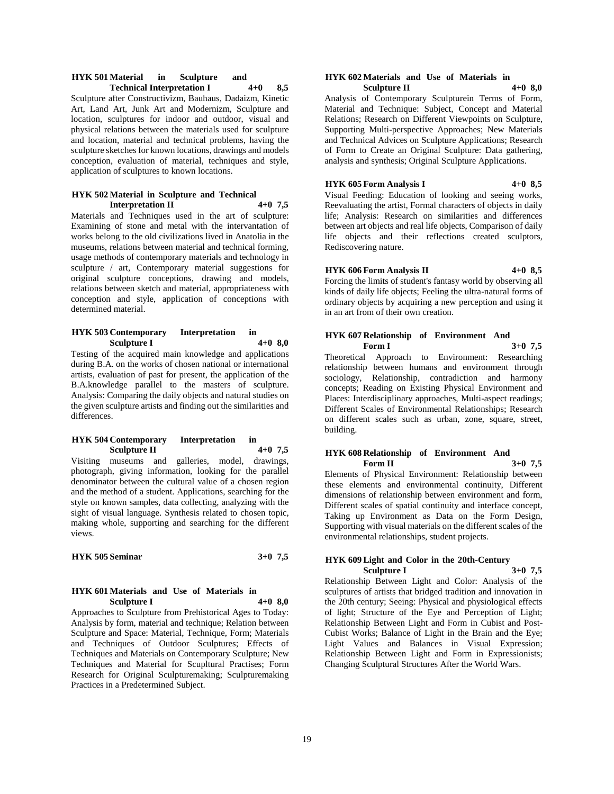#### **HYK 501 Material in Sculpture and Technical Interpretation I 4+0 8,5**

Sculpture after Constructivizm, Bauhaus, Dadaizm, Kinetic Art, Land Art, Junk Art and Modernizm, Sculpture and location, sculptures for indoor and outdoor, visual and physical relations between the materials used for sculpture and location, material and technical problems, having the sculpture sketches for known locations, drawings and models conception, evaluation of material, techniques and style, application of sculptures to known locations.

#### **HYK 502 Material in Sculpture and Technical Interpretation II 4+0 7,5**

Materials and Techniques used in the art of sculpture: Examining of stone and metal with the intervantation of works belong to the old civilizations lived in Anatolia in the museums, relations between material and technical forming, usage methods of contemporary materials and technology in sculpture / art, Contemporary material suggestions for original sculpture conceptions, drawing and models, relations between sketch and material, appropriateness with conception and style, application of conceptions with determined material.

#### **HYK 503 Contemporary Interpretation in Sculpture I 4+0 8,0**

Testing of the acquired main knowledge and applications during B.A. on the works of chosen national or international artists, evaluation of past for present, the application of the B.A.knowledge parallel to the masters of sculpture. Analysis: Comparing the daily objects and natural studies on the given sculpture artists and finding out the similarities and differences.

#### **HYK 504 Contemporary Interpretation in Sculpture II 4+0 7,5**

Visiting museums and galleries, model, drawings, photograph, giving information, looking for the parallel denominator between the cultural value of a chosen region and the method of a student. Applications, searching for the style on known samples, data collecting, analyzing with the sight of visual language. Synthesis related to chosen topic, making whole, supporting and searching for the different views.

#### **HYK 505 Seminar 3+0 7,5**

#### **HYK 601 Materials and Use of Materials in Sculpture I 4+0 8,0**

Approaches to Sculpture from Prehistorical Ages to Today: Analysis by form, material and technique; Relation between Sculpture and Space: Material, Technique, Form; Materials and Techniques of Outdoor Sculptures; Effects of Techniques and Materials on Contemporary Sculpture; New Techniques and Material for Scupltural Practises; Form Research for Original Sculpturemaking; Sculpturemaking Practices in a Predetermined Subject.

#### **HYK 602 Materials and Use of Materials in Sculpture II**

Analysis of Contemporary Sculpturein Terms of Form, Material and Technique: Subject, Concept and Material Relations; Research on Different Viewpoints on Sculpture, Supporting Multi-perspective Approaches; New Materials and Technical Advices on Sculpture Applications; Research of Form to Create an Original Sculpture: Data gathering, analysis and synthesis; Original Sculpture Applications.

## **HYK 605 Form Analysis I 4+0 8,5**

Visual Feeding: Education of looking and seeing works, Reevaluating the artist, Formal characters of objects in daily life; Analysis: Research on similarities and differences between art objects and real life objects, Comparison of daily life objects and their reflections created sculptors, Rediscovering nature.

#### **HYK 606 Form Analysis II 4+0 8,5**

Forcing the limits of student's fantasy world by observing all kinds of daily life objects; Feeling the ultra-natural forms of ordinary objects by acquiring a new perception and using it in an art from of their own creation.

#### **HYK 607 Relationship of Environment And Form I 3+0 7,5**

Theoretical Approach to Environment: Researching relationship between humans and environment through sociology, Relationship, contradiction and harmony concepts; Reading on Existing Physical Environment and Places: Interdisciplinary approaches, Multi-aspect readings; Different Scales of Environmental Relationships; Research on different scales such as urban, zone, square, street, building.

#### **HYK 608 Relationship of Environment And Form II 3+0 7,5**

Elements of Physical Environment: Relationship between these elements and environmental continuity, Different dimensions of relationship between environment and form, Different scales of spatial continuity and interface concept, Taking up Environment as Data on the Form Design, Supporting with visual materials on the different scales of the environmental relationships, student projects.

#### **HYK 609 Light and Color in the 20th-Century Sculpture I**

Relationship Between Light and Color: Analysis of the sculptures of artists that bridged tradition and innovation in the 20th century; Seeing: Physical and physiological effects of light; Structure of the Eye and Perception of Light; Relationship Between Light and Form in Cubist and Post-Cubist Works; Balance of Light in the Brain and the Eye; Light Values and Balances in Visual Expression; Relationship Between Light and Form in Expressionists; Changing Sculptural Structures After the World Wars.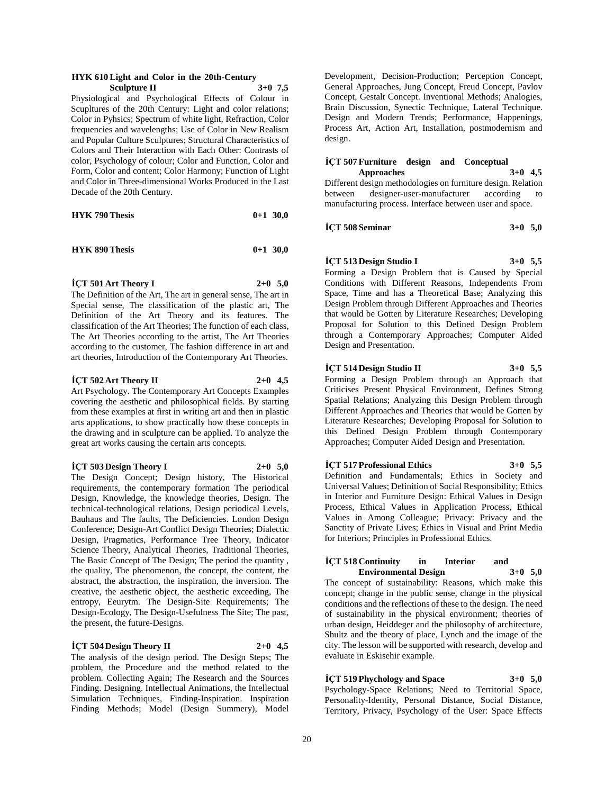#### **HYK 610 Light and Color in the 20th-Century Sculpture II 3+0 7,5**

Physiological and Psychological Effects of Colour in Scupltures of the 20th Century: Light and color relations; Color in Pyhsics; Spectrum of white light, Refraction, Color frequencies and wavelengths; Use of Color in New Realism and Popular Culture Sculptures; Structural Characteristics of Colors and Their Interaction with Each Other: Contrasts of color, Psychology of colour; Color and Function, Color and Form, Color and content; Color Harmony; Function of Light and Color in Three-dimensional Works Produced in the Last Decade of the 20th Century.

| <b>HYK 790 Thesis</b> |  | $0+1$ 30,0 |
|-----------------------|--|------------|
|-----------------------|--|------------|

| <b>HYK 890 Thesis</b> | $0+1$ 30,0 |  |
|-----------------------|------------|--|
|                       |            |  |

**İÇT 501 Art Theory I 2+0 5,0**

The Definition of the Art, The art in general sense, The art in Special sense, The classification of the plastic art, The Definition of the Art Theory and its features. The classification of the Art Theories; The function of each class, The Art Theories according to the artist, The Art Theories according to the customer, The fashion difference in art and art theories, Introduction of the Contemporary Art Theories.

**İÇT 502 Art Theory II 2+0 4,5**

Art Psychology. The Contemporary Art Concepts Examples covering the aesthetic and philosophical fields. By starting from these examples at first in writing art and then in plastic arts applications, to show practically how these concepts in the drawing and in sculpture can be applied. To analyze the great art works causing the certain arts concepts.

**İÇT 503 Design Theory I 2+0 5,0** The Design Concept; Design history, The Historical requirements, the contemporary formation The periodical Design, Knowledge, the knowledge theories, Design. The technical-technological relations, Design periodical Levels, Bauhaus and The faults, The Deficiencies. London Design Conference; Design-Art Conflict Design Theories; Dialectic Design, Pragmatics, Performance Tree Theory, Indicator Science Theory, Analytical Theories, Traditional Theories, The Basic Concept of The Design; The period the quantity , the quality, The phenomenon, the concept, the content, the abstract, the abstraction, the inspiration, the inversion. The creative, the aesthetic object, the aesthetic exceeding, The entropy, Eeurytm. The Design-Site Requirements; The Design-Ecology, The Design-Usefulness The Site; The past, the present, the future-Designs.

#### **İÇT 504 Design Theory II 2+0 4,5**

The analysis of the design period. The Design Steps; The problem, the Procedure and the method related to the problem. Collecting Again; The Research and the Sources Finding. Designing. Intellectual Animations, the Intellectual Simulation Techniques, Finding-Inspiration. Inspiration Finding Methods; Model (Design Summery), Model

Development, Decision-Production; Perception Concept, General Approaches, Jung Concept, Freud Concept, Pavlov Concept, Gestalt Concept. Inventional Methods; Analogies, Brain Discussion, Synectic Technique, Lateral Technique. Design and Modern Trends; Performance, Happenings, Process Art, Action Art, Installation, postmodernism and design.

#### **İÇT 507 Furniture design and Conceptual**

**Approaches 3+0 4,5** Different design methodologies on furniture design. Relation between designer-user-manufacturer according to manufacturing process. Interface between user and space.

**İÇT 508 Seminar 3+0 5,0**

#### **İÇT 513 Design Studio I 3+0 5,5**

Forming a Design Problem that is Caused by Special Conditions with Different Reasons, Independents From Space, Time and has a Theoretical Base; Analyzing this Design Problem through Different Approaches and Theories that would be Gotten by Literature Researches; Developing Proposal for Solution to this Defined Design Problem through a Contemporary Approaches; Computer Aided Design and Presentation.

#### **İÇT 514 Design Studio II 3+0 5,5**

Forming a Design Problem through an Approach that Criticises Present Physical Environment, Defines Strong Spatial Relations; Analyzing this Design Problem through Different Approaches and Theories that would be Gotten by Literature Researches; Developing Proposal for Solution to this Defined Design Problem through Contemporary Approaches; Computer Aided Design and Presentation.

#### **İÇT 517 Professional Ethics 3+0 5,5**

Definition and Fundamentals; Ethics in Society and Universal Values; Definition of Social Responsibility; Ethics in Interior and Furniture Design: Ethical Values in Design Process, Ethical Values in Application Process, Ethical Values in Among Colleague; Privacy: Privacy and the Sanctity of Private Lives; Ethics in Visual and Print Media for Interiors; Principles in Professional Ethics.

#### **İÇT 518 Continuity in Interior and Environmental Design 3+0 5,0**

The concept of sustainability: Reasons, which make this concept; change in the public sense, change in the physical conditions and the reflections of these to the design. The need of sustainability in the physical environment; theories of urban design, Heiddeger and the philosophy of architecture, Shultz and the theory of place, Lynch and the image of the city. The lesson will be supported with research, develop and evaluate in Eskisehir example.

#### **İÇT 519 Phychology and Space 3+0 5,0**

Psychology-Space Relations; Need to Territorial Space, Personality-Identity, Personal Distance, Social Distance, Territory, Privacy, Psychology of the User: Space Effects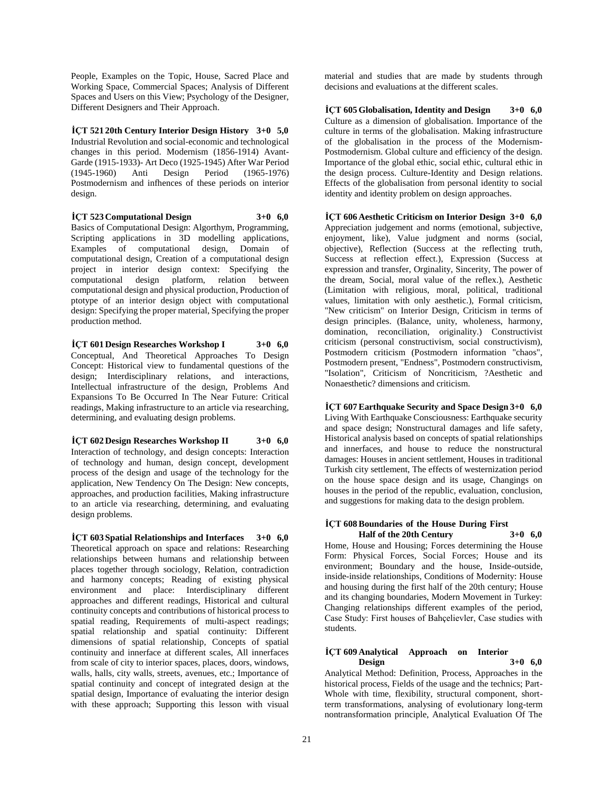People, Examples on the Topic, House, Sacred Place and Working Space, Commercial Spaces; Analysis of Different Spaces and Users on this View; Psychology of the Designer, Different Designers and Their Approach.

**İÇT 521 20th Century Interior Design History 3+0 5,0** Industrial Revolution and social-economic and technological changes in this period. Modernism (1856-1914) Avant-Garde (1915-1933)- Art Deco (1925-1945) After War Period (1945-1960) Anti Design Period (1965-1976) Postmodernism and infhences of these periods on interior design.

**İÇT 523 Computational Design 3+0 6,0**

Basics of Computational Design: Algorthym, Programming, Scripting applications in 3D modelling applications, Examples of computational design, Domain of computational design, Creation of a computational design project in interior design context: Specifying the computational design platform, relation between computational design and physical production, Production of ptotype of an interior design object with computational design: Specifying the proper material, Specifying the proper production method.

**İÇT 601 Design Researches Workshop I 3+0 6,0** Conceptual, And Theoretical Approaches To Design Concept: Historical view to fundamental questions of the design; Interdisciplinary relations, and interactions, Intellectual infrastructure of the design, Problems And Expansions To Be Occurred In The Near Future: Critical readings, Making infrastructure to an article via researching, determining, and evaluating design problems.

**İÇT 602 Design Researches Workshop II 3+0 6,0** Interaction of technology, and design concepts: Interaction of technology and human, design concept, development process of the design and usage of the technology for the application, New Tendency On The Design: New concepts, approaches, and production facilities, Making infrastructure to an article via researching, determining, and evaluating design problems.

**İÇT 603 Spatial Relationships and Interfaces 3+0 6,0** Theoretical approach on space and relations: Researching relationships between humans and relationship between places together through sociology, Relation, contradiction and harmony concepts; Reading of existing physical environment and place: Interdisciplinary different approaches and different readings, Historical and cultural continuity concepts and contributions of historical process to spatial reading, Requirements of multi-aspect readings; spatial relationship and spatial continuity: Different dimensions of spatial relationship, Concepts of spatial continuity and innerface at different scales, All innerfaces from scale of city to interior spaces, places, doors, windows, walls, halls, city walls, streets, avenues, etc.; Importance of spatial continuity and concept of integrated design at the spatial design, Importance of evaluating the interior design with these approach; Supporting this lesson with visual

material and studies that are made by students through decisions and evaluations at the different scales.

**İÇT 605 Globalisation, Identity and Design 3+0 6,0** Culture as a dimension of globalisation. Importance of the culture in terms of the globalisation. Making infrastructure of the globalisation in the process of the Modernism-Postmodernism. Global culture and efficiency of the design. Importance of the global ethic, social ethic, cultural ethic in the design process. Culture-Identity and Design relations. Effects of the globalisation from personal identity to social identity and identity problem on design approaches.

**İÇT 606 Aesthetic Criticism on Interior Design 3+0 6,0** Appreciation judgement and norms (emotional, subjective, enjoyment, like), Value judgment and norms (social, objective), Reflection (Success at the reflecting truth, Success at reflection effect.), Expression (Success at expression and transfer, Orginality, Sincerity, The power of the dream, Social, moral value of the reflex.), Aesthetic (Limitation with religious, moral, political, traditional values, limitation with only aesthetic.), Formal criticism, "New criticism" on Interior Design, Criticism in terms of design principles. (Balance, unity, wholeness, harmony, domination, reconciliation, originality.) Constructivist criticism (personal constructivism, social constructivism), Postmodern criticism (Postmodern information "chaos", Postmodern present, "Endness", Postmodern constructivism, "Isolation", Criticism of Noncriticism, ?Aesthetic and Nonaesthetic? dimensions and criticism.

**İÇT 607 Earthquake Security and Space Design 3+0 6,0** Living With Earthquake Consciousness: Earthquake security and space design; Nonstructural damages and life safety, Historical analysis based on concepts of spatial relationships and innerfaces, and house to reduce the nonstructural damages: Houses in ancient settlement, Houses in traditional Turkish city settlement, The effects of westernization period on the house space design and its usage, Changings on houses in the period of the republic, evaluation, conclusion, and suggestions for making data to the design problem.

#### **İÇT 608 Boundaries of the House During First Half of the 20th Century 3+0 6,0**

Home, House and Housing; Forces determining the House Form: Physical Forces, Social Forces; House and its environment; Boundary and the house, Inside-outside, inside-inside relationships, Conditions of Modernity: House and housing during the first half of the 20th century; House and its changing boundaries, Modern Movement in Turkey: Changing relationships different examples of the period, Case Study: First houses of Bahçelievler, Case studies with students.

#### **İÇT 609 Analytical Approach on Interior Design 3+0 6,0**

Analytical Method: Definition, Process, Approaches in the historical process, Fields of the usage and the technics; Part-Whole with time, flexibility, structural component, shortterm transformations, analysing of evolutionary long-term nontransformation principle, Analytical Evaluation Of The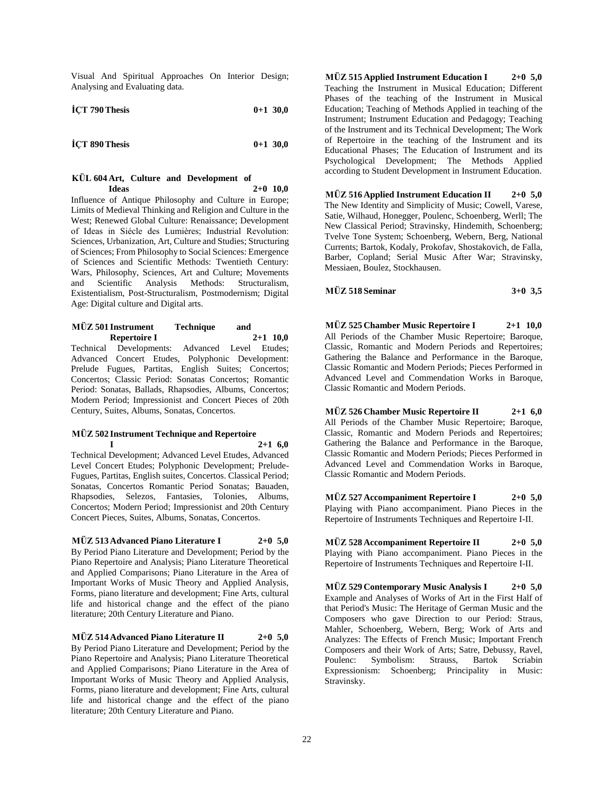Visual And Spiritual Approaches On Interior Design; Analysing and Evaluating data.

| ICT 790 Thesis | $0+1$ 30,0 |
|----------------|------------|
|                |            |

**İÇT 890 Thesis 0+1 30,0**

#### **KÜL 604 Art, Culture and Development of Ideas 2+0 10,0**

Influence of Antique Philosophy and Culture in Europe; Limits of Medieval Thinking and Religion and Culture in the West; Renewed Global Culture: Renaissance; Development of Ideas in Siécle des Lumières; Industrial Revolution: Sciences, Urbanization, Art, Culture and Studies; Structuring of Sciences; From Philosophy to Social Sciences: Emergence of Sciences and Scientific Methods: Twentieth Century: Wars, Philosophy, Sciences, Art and Culture; Movements and Scientific Analysis Methods: Structuralism, Existentialism, Post-Structuralism, Postmodernism; Digital Age: Digital culture and Digital arts.

## **MÜZ 501 Instrument Technique and Repertoire I 2+1 10,0**

Technical Developments: Advanced Level Etudes; Advanced Concert Etudes, Polyphonic Development: Prelude Fugues, Partitas, English Suites; Concertos; Concertos; Classic Period: Sonatas Concertos; Romantic Period: Sonatas, Ballads, Rhapsodies, Albums, Concertos; Modern Period; Impressionist and Concert Pieces of 20th Century, Suites, Albums, Sonatas, Concertos.

## **MÜZ 502 Instrument Technique and Repertoire**

**I 2+1 6,0** Technical Development; Advanced Level Etudes, Advanced Level Concert Etudes; Polyphonic Development; Prelude-Fugues, Partitas, English suites, Concertos. Classical Period; Sonatas, Concertos Romantic Period Sonatas; Bauaden, Rhapsodies, Selezos, Fantasies, Tolonies, Albums, Concertos; Modern Period; Impressionist and 20th Century Concert Pieces, Suites, Albums, Sonatas, Concertos.

**MÜZ 513 Advanced Piano Literature I 2+0 5,0** By Period Piano Literature and Development; Period by the Piano Repertoire and Analysis; Piano Literature Theoretical and Applied Comparisons; Piano Literature in the Area of Important Works of Music Theory and Applied Analysis, Forms, piano literature and development; Fine Arts, cultural life and historical change and the effect of the piano literature; 20th Century Literature and Piano.

**MÜZ 514 Advanced Piano Literature II 2+0 5,0** By Period Piano Literature and Development; Period by the Piano Repertoire and Analysis; Piano Literature Theoretical and Applied Comparisons; Piano Literature in the Area of Important Works of Music Theory and Applied Analysis, Forms, piano literature and development; Fine Arts, cultural life and historical change and the effect of the piano literature; 20th Century Literature and Piano.

**MÜZ 515 Applied Instrument Education I 2+0 5,0** Teaching the Instrument in Musical Education; Different Phases of the teaching of the Instrument in Musical Education; Teaching of Methods Applied in teaching of the Instrument; Instrument Education and Pedagogy; Teaching of the Instrument and its Technical Development; The Work of Repertoire in the teaching of the Instrument and its Educational Phases; The Education of Instrument and its Psychological Development; The Methods Applied according to Student Development in Instrument Education.

**MÜZ 516 Applied Instrument Education II 2+0 5,0** The New Identity and Simplicity of Music; Cowell, Varese, Satie, Wilhaud, Honegger, Poulenc, Schoenberg, Werll; The New Classical Period; Stravinsky, Hindemith, Schoenberg; Tvelve Tone System; Schoenberg, Webern, Berg, National Currents; Bartok, Kodaly, Prokofav, Shostakovich, de Falla, Barber, Copland; Serial Music After War; Stravinsky, Messiaen, Boulez, Stockhausen.

**MÜZ 518 Seminar 3+0 3,5**

**MÜZ 525 Chamber Music Repertoire I 2+1 10,0** All Periods of the Chamber Music Repertoire; Baroque, Classic, Romantic and Modern Periods and Repertoires; Gathering the Balance and Performance in the Baroque, Classic Romantic and Modern Periods; Pieces Performed in Advanced Level and Commendation Works in Baroque, Classic Romantic and Modern Periods.

**MÜZ 526 Chamber Music Repertoire II 2+1 6,0** All Periods of the Chamber Music Repertoire; Baroque, Classic, Romantic and Modern Periods and Repertoires; Gathering the Balance and Performance in the Baroque, Classic Romantic and Modern Periods; Pieces Performed in Advanced Level and Commendation Works in Baroque, Classic Romantic and Modern Periods.

**MÜZ 527 Accompaniment Repertoire I 2+0 5,0** Playing with Piano accompaniment. Piano Pieces in the Repertoire of Instruments Techniques and Repertoire I-II.

**MÜZ 528 Accompaniment Repertoire II 2+0 5,0** Playing with Piano accompaniment. Piano Pieces in the Repertoire of Instruments Techniques and Repertoire I-II.

**MÜZ 529 Contemporary Music Analysis I 2+0 5,0** Example and Analyses of Works of Art in the First Half of that Period's Music: The Heritage of German Music and the Composers who gave Direction to our Period: Straus, Mahler, Schoenberg, Webern, Berg; Work of Arts and Analyzes: The Effects of French Music; Important French Composers and their Work of Arts; Satre, Debussy, Ravel, Poulenc: Symbolism: Strauss, Bartok Scriabin Expressionism: Schoenberg; Principality in Music: Stravinsky.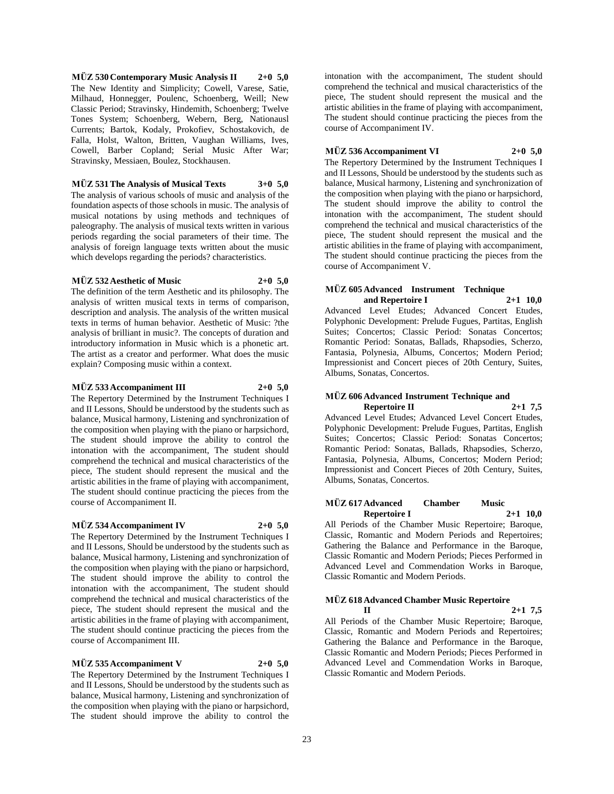**MÜZ 530 Contemporary Music Analysis II 2+0 5,0** The New Identity and Simplicity; Cowell, Varese, Satie, Milhaud, Honnegger, Poulenc, Schoenberg, Weill; New Classic Period; Stravinsky, Hindemith, Schoenberg; Twelve Tones System; Schoenberg, Webern, Berg, Nationausl Currents; Bartok, Kodaly, Prokofiev, Schostakovich, de Falla, Holst, Walton, Britten, Vaughan Williams, Ives, Cowell, Barber Copland; Serial Music After War; Stravinsky, Messiaen, Boulez, Stockhausen.

**MÜZ 531 The Analysis of Musical Texts 3+0 5,0** The analysis of various schools of music and analysis of the foundation aspects of those schools in music. The analysis of musical notations by using methods and techniques of paleography. The analysis of musical texts written in various periods regarding the social parameters of their time. The analysis of foreign language texts written about the music which develops regarding the periods? characteristics.

#### **MÜZ 532 Aesthetic of Music 2+0 5,0**

The definition of the term Aesthetic and its philosophy. The analysis of written musical texts in terms of comparison, description and analysis. The analysis of the written musical texts in terms of human behavior. Aesthetic of Music: ?the analysis of brilliant in music?. The concepts of duration and introductory information in Music which is a phonetic art. The artist as a creator and performer. What does the music explain? Composing music within a context.

#### **MÜZ 533 Accompaniment III 2+0 5,0**

The Repertory Determined by the Instrument Techniques I and II Lessons, Should be understood by the students such as balance, Musical harmony, Listening and synchronization of the composition when playing with the piano or harpsichord, The student should improve the ability to control the intonation with the accompaniment, The student should comprehend the technical and musical characteristics of the piece, The student should represent the musical and the artistic abilities in the frame of playing with accompaniment, The student should continue practicing the pieces from the course of Accompaniment II.

#### **MÜZ 534 Accompaniment IV 2+0 5,0**

The Repertory Determined by the Instrument Techniques I and II Lessons, Should be understood by the students such as balance, Musical harmony, Listening and synchronization of the composition when playing with the piano or harpsichord, The student should improve the ability to control the intonation with the accompaniment, The student should comprehend the technical and musical characteristics of the piece, The student should represent the musical and the artistic abilities in the frame of playing with accompaniment, The student should continue practicing the pieces from the course of Accompaniment III.

#### **MÜZ 535 Accompaniment V 2+0 5,0**

The Repertory Determined by the Instrument Techniques I and II Lessons, Should be understood by the students such as balance, Musical harmony, Listening and synchronization of the composition when playing with the piano or harpsichord, The student should improve the ability to control the

intonation with the accompaniment, The student should comprehend the technical and musical characteristics of the piece, The student should represent the musical and the artistic abilities in the frame of playing with accompaniment, The student should continue practicing the pieces from the course of Accompaniment IV.

#### **MÜZ 536 Accompaniment VI 2+0 5,0**

The Repertory Determined by the Instrument Techniques I and II Lessons, Should be understood by the students such as balance, Musical harmony, Listening and synchronization of the composition when playing with the piano or harpsichord, The student should improve the ability to control the intonation with the accompaniment, The student should comprehend the technical and musical characteristics of the piece, The student should represent the musical and the artistic abilities in the frame of playing with accompaniment, The student should continue practicing the pieces from the course of Accompaniment V.

#### **MÜZ 605 Advanced Instrument Technique and Repertoire I 2+1 10,0**

Advanced Level Etudes; Advanced Concert Etudes, Polyphonic Development: Prelude Fugues, Partitas, English Suites; Concertos; Classic Period: Sonatas Concertos; Romantic Period: Sonatas, Ballads, Rhapsodies, Scherzo, Fantasia, Polynesia, Albums, Concertos; Modern Period; Impressionist and Concert pieces of 20th Century, Suites, Albums, Sonatas, Concertos.

#### **MÜZ 606 Advanced Instrument Technique and Repertoire II 2+1 7,5**

Advanced Level Etudes; Advanced Level Concert Etudes, Polyphonic Development: Prelude Fugues, Partitas, English Suites; Concertos; Classic Period: Sonatas Concertos; Romantic Period: Sonatas, Ballads, Rhapsodies, Scherzo, Fantasia, Polynesia, Albums, Concertos; Modern Period; Impressionist and Concert Pieces of 20th Century, Suites, Albums, Sonatas, Concertos.

#### **MÜZ 617 Advanced Chamber Music Repertoire I 2+1 10,0**

All Periods of the Chamber Music Repertoire; Baroque, Classic, Romantic and Modern Periods and Repertoires; Gathering the Balance and Performance in the Baroque, Classic Romantic and Modern Periods; Pieces Performed in Advanced Level and Commendation Works in Baroque, Classic Romantic and Modern Periods.

#### **MÜZ 618 Advanced Chamber Music Repertoire**

**II 2+1 7,5** All Periods of the Chamber Music Repertoire; Baroque, Classic, Romantic and Modern Periods and Repertoires; Gathering the Balance and Performance in the Baroque, Classic Romantic and Modern Periods; Pieces Performed in Advanced Level and Commendation Works in Baroque, Classic Romantic and Modern Periods.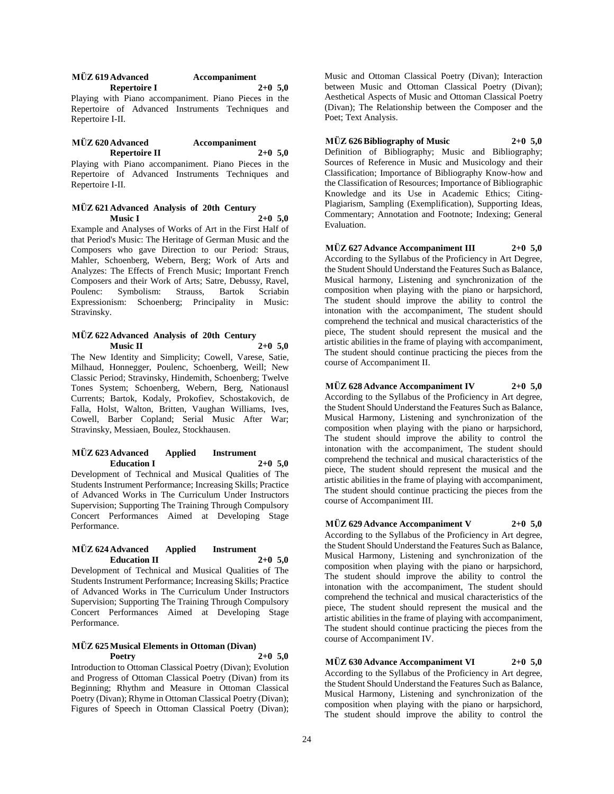| <b>MÜZ 619 Advanced</b> | Accompaniment |
|-------------------------|---------------|
| Repertoire I            | $2+0, 5, 0$   |

Playing with Piano accompaniment. Piano Pieces in the Repertoire of Advanced Instruments Techniques and Repertoire I-II.

#### **MÜZ 620 Advanced Accompaniment Repertoire II 2+0 5,0**

Playing with Piano accompaniment. Piano Pieces in the Repertoire of Advanced Instruments Techniques and Repertoire I-II.

#### **MÜZ 621 Advanced Analysis of 20th Century Music I 2+0 5,0**

Example and Analyses of Works of Art in the First Half of that Period's Music: The Heritage of German Music and the Composers who gave Direction to our Period: Straus, Mahler, Schoenberg, Webern, Berg; Work of Arts and Analyzes: The Effects of French Music; Important French Composers and their Work of Arts; Satre, Debussy, Ravel, Poulenc: Symbolism: Strauss, Bartok Scriabin Expressionism: Schoenberg; Principality in Music: Stravinsky.

#### **MÜZ 622 Advanced Analysis of 20th Century Music II 2+0 5,0**

The New Identity and Simplicity; Cowell, Varese, Satie, Milhaud, Honnegger, Poulenc, Schoenberg, Weill; New Classic Period; Stravinsky, Hindemith, Schoenberg; Twelve Tones System; Schoenberg, Webern, Berg, Nationausl Currents; Bartok, Kodaly, Prokofiev, Schostakovich, de Falla, Holst, Walton, Britten, Vaughan Williams, Ives, Cowell, Barber Copland; Serial Music After War; Stravinsky, Messiaen, Boulez, Stockhausen.

#### **MÜZ 623 Advanced Applied Instrument Education I 2+0 5,0**

Development of Technical and Musical Qualities of The Students Instrument Performance; Increasing Skills; Practice of Advanced Works in The Curriculum Under Instructors Supervision; Supporting The Training Through Compulsory Concert Performances Aimed at Developing Stage Performance.

## **MÜZ 624 Advanced Applied Instrument Education II 2+0 5,0**

Development of Technical and Musical Qualities of The Students Instrument Performance; Increasing Skills; Practice of Advanced Works in The Curriculum Under Instructors Supervision; Supporting The Training Through Compulsory Concert Performances Aimed at Developing Stage Performance.

#### **MÜZ 625 Musical Elements in Ottoman (Divan) Poetry 2+0 5,0**

Introduction to Ottoman Classical Poetry (Divan); Evolution and Progress of Ottoman Classical Poetry (Divan) from its Beginning; Rhythm and Measure in Ottoman Classical Poetry (Divan); Rhyme in Ottoman Classical Poetry (Divan); Figures of Speech in Ottoman Classical Poetry (Divan);

Music and Ottoman Classical Poetry (Divan); Interaction between Music and Ottoman Classical Poetry (Divan); Aesthetical Aspects of Music and Ottoman Classical Poetry (Divan); The Relationship between the Composer and the Poet; Text Analysis.

**MÜZ 626 Bibliography of Music 2+0 5,0** Definition of Bibliography; Music and Bibliography; Sources of Reference in Music and Musicology and their Classification; Importance of Bibliography Know-how and the Classification of Resources; Importance of Bibliographic Knowledge and its Use in Academic Ethics; Citing-Plagiarism, Sampling (Exemplification), Supporting Ideas, Commentary; Annotation and Footnote; Indexing; General Evaluation.

**MÜZ 627 Advance Accompaniment III 2+0 5,0** According to the Syllabus of the Proficiency in Art Degree, the Student Should Understand the Features Such as Balance, Musical harmony, Listening and synchronization of the composition when playing with the piano or harpsichord, The student should improve the ability to control the intonation with the accompaniment, The student should comprehend the technical and musical characteristics of the piece, The student should represent the musical and the artistic abilities in the frame of playing with accompaniment, The student should continue practicing the pieces from the course of Accompaniment II.

#### **MÜZ 628 Advance Accompaniment IV 2+0 5,0**

According to the Syllabus of the Proficiency in Art degree, the Student Should Understand the Features Such as Balance, Musical Harmony, Listening and synchronization of the composition when playing with the piano or harpsichord, The student should improve the ability to control the intonation with the accompaniment, The student should comprehend the technical and musical characteristics of the piece, The student should represent the musical and the artistic abilities in the frame of playing with accompaniment, The student should continue practicing the pieces from the course of Accompaniment III.

## **MÜZ 629 Advance Accompaniment V 2+0 5,0**

According to the Syllabus of the Proficiency in Art degree, the Student Should Understand the Features Such as Balance, Musical Harmony, Listening and synchronization of the composition when playing with the piano or harpsichord, The student should improve the ability to control the intonation with the accompaniment, The student should comprehend the technical and musical characteristics of the piece, The student should represent the musical and the artistic abilities in the frame of playing with accompaniment, The student should continue practicing the pieces from the course of Accompaniment IV.

**MÜZ 630 Advance Accompaniment VI 2+0 5,0** According to the Syllabus of the Proficiency in Art degree, the Student Should Understand the Features Such as Balance, Musical Harmony, Listening and synchronization of the composition when playing with the piano or harpsichord, The student should improve the ability to control the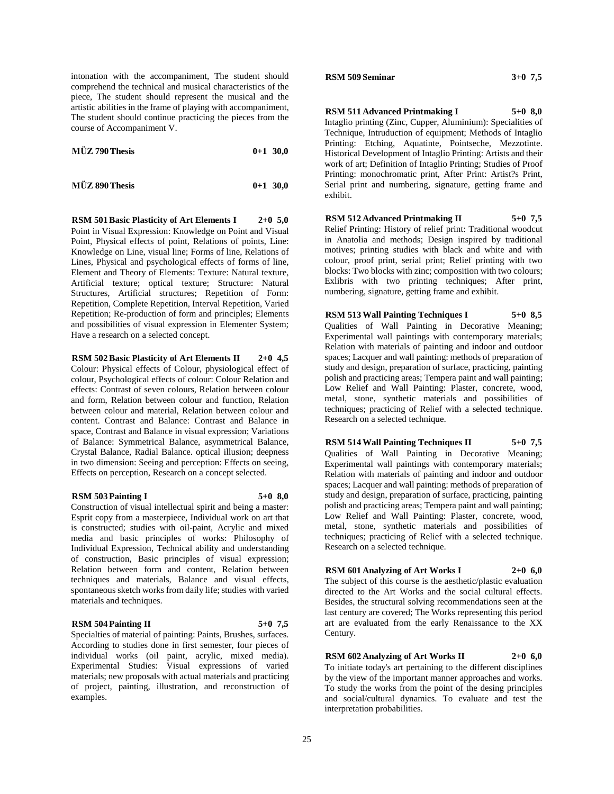intonation with the accompaniment, The student should comprehend the technical and musical characteristics of the piece, The student should represent the musical and the artistic abilities in the frame of playing with accompaniment, The student should continue practicing the pieces from the course of Accompaniment V.

| MÜZ 790 Thesis | $0+1$ 30,0 |  |
|----------------|------------|--|
|                |            |  |

| $0+1$ 30,0 |
|------------|
|            |

**RSM 501 Basic Plasticity of Art Elements I 2+0 5,0** Point in Visual Expression: Knowledge on Point and Visual Point, Physical effects of point, Relations of points, Line: Knowledge on Line, visual line; Forms of line, Relations of Lines, Physical and psychological effects of forms of line, Element and Theory of Elements: Texture: Natural texture, Artificial texture; optical texture; Structure: Natural Structures, Artificial structures; Repetition of Form: Repetition, Complete Repetition, Interval Repetition, Varied Repetition; Re-production of form and principles; Elements and possibilities of visual expression in Elementer System; Have a research on a selected concept.

## **RSM 502 Basic Plasticity of Art Elements II 2+0 4,5**

Colour: Physical effects of Colour, physiological effect of colour, Psychological effects of colour: Colour Relation and effects: Contrast of seven colours, Relation between colour and form, Relation between colour and function, Relation between colour and material, Relation between colour and content. Contrast and Balance: Contrast and Balance in space, Contrast and Balance in visual expression; Variations of Balance: Symmetrical Balance, asymmetrical Balance, Crystal Balance, Radial Balance. optical illusion; deepness in two dimension: Seeing and perception: Effects on seeing, Effects on perception, Research on a concept selected.

#### **RSM 503 Painting I 5+0 8,0**

Construction of visual intellectual spirit and being a master: Esprit copy from a masterpiece, Individual work on art that is constructed; studies with oil-paint, Acrylic and mixed media and basic principles of works: Philosophy of Individual Expression, Technical ability and understanding of construction, Basic principles of visual expression; Relation between form and content, Relation between techniques and materials, Balance and visual effects, spontaneous sketch works from daily life; studies with varied materials and techniques.

#### **RSM 504 Painting II 5+0 7,5**

Specialties of material of painting: Paints, Brushes, surfaces. According to studies done in first semester, four pieces of individual works (oil paint, acrylic, mixed media). Experimental Studies: Visual expressions of varied materials; new proposals with actual materials and practicing of project, painting, illustration, and reconstruction of examples.

#### **RSM 509 Seminar 3+0 7,5**

**RSM 511 Advanced Printmaking I 5+0 8,0**

Intaglio printing (Zinc, Cupper, Aluminium): Specialities of Technique, Intruduction of equipment; Methods of Intaglio Printing: Etching, Aquatinte, Pointseche, Mezzotinte. Historical Development of Intaglio Printing: Artists and their work of art; Definition of Intaglio Printing; Studies of Proof Printing: monochromatic print, After Print: Artist?s Print, Serial print and numbering, signature, getting frame and exhibit.

#### **RSM 512 Advanced Printmaking II 5+0 7,5**

Relief Printing: History of relief print: Traditional woodcut in Anatolia and methods; Design inspired by traditional motives; printing studies with black and white and with colour, proof print, serial print; Relief printing with two blocks: Two blocks with zinc; composition with two colours; Exlibris with two printing techniques; After print, numbering, signature, getting frame and exhibit.

**RSM 513 Wall Painting Techniques I 5+0 8,5** Qualities of Wall Painting in Decorative Meaning; Experimental wall paintings with contemporary materials; Relation with materials of painting and indoor and outdoor spaces; Lacquer and wall painting: methods of preparation of study and design, preparation of surface, practicing, painting polish and practicing areas; Tempera paint and wall painting; Low Relief and Wall Painting: Plaster, concrete, wood, metal, stone, synthetic materials and possibilities of techniques; practicing of Relief with a selected technique. Research on a selected technique.

**RSM 514 Wall Painting Techniques II 5+0 7,5** Qualities of Wall Painting in Decorative Meaning; Experimental wall paintings with contemporary materials; Relation with materials of painting and indoor and outdoor spaces; Lacquer and wall painting: methods of preparation of study and design, preparation of surface, practicing, painting polish and practicing areas; Tempera paint and wall painting; Low Relief and Wall Painting: Plaster, concrete, wood, metal, stone, synthetic materials and possibilities of techniques; practicing of Relief with a selected technique. Research on a selected technique.

#### **RSM 601 Analyzing of Art Works I 2+0 6,0**

The subject of this course is the aesthetic/plastic evaluation directed to the Art Works and the social cultural effects. Besides, the structural solving recommendations seen at the last century are covered; The Works representing this period art are evaluated from the early Renaissance to the XX Century.

## **RSM 602 Analyzing of Art Works II 2+0 6,0**

To initiate today's art pertaining to the different disciplines by the view of the important manner approaches and works. To study the works from the point of the desing principles and social/cultural dynamics. To evaluate and test the interpretation probabilities.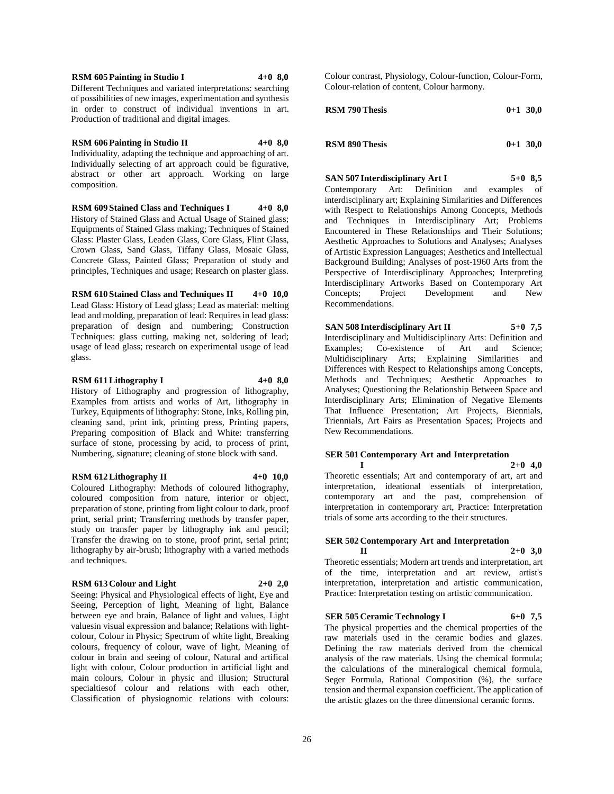**RSM 605 Painting in Studio I 4+0 8,0** Different Techniques and variated interpretations: searching of possibilities of new images, experimentation and synthesis in order to construct of individual inventions in art. Production of traditional and digital images.

**RSM 606 Painting in Studio II 4+0 8,0** Individuality, adapting the technique and approaching of art. Individually selecting of art approach could be figurative, abstract or other art approach. Working on large composition.

**RSM 609 Stained Class and Techniques I 4+0 8,0** History of Stained Glass and Actual Usage of Stained glass; Equipments of Stained Glass making; Techniques of Stained Glass: Plaster Glass, Leaden Glass, Core Glass, Flint Glass, Crown Glass, Sand Glass, Tiffany Glass, Mosaic Glass, Concrete Glass, Painted Glass; Preparation of study and principles, Techniques and usage; Research on plaster glass.

**RSM 610 Stained Class and Techniques II 4+0 10,0** Lead Glass: History of Lead glass; Lead as material: melting lead and molding, preparation of lead: Requires in lead glass: preparation of design and numbering; Construction Techniques: glass cutting, making net, soldering of lead; usage of lead glass; research on experimental usage of lead glass.

#### **RSM 611 Lithography I 4+0 8,0**

History of Lithography and progression of lithography, Examples from artists and works of Art, lithography in Turkey, Equipments of lithography: Stone, Inks, Rolling pin, cleaning sand, print ink, printing press, Printing papers, Preparing composition of Black and White: transferring surface of stone, processing by acid, to process of print, Numbering, signature; cleaning of stone block with sand.

#### **RSM 612 Lithography II 4+0 10,0**

Coloured Lithography: Methods of coloured lithography, coloured composition from nature, interior or object, preparation of stone, printing from light colour to dark, proof print, serial print; Transferring methods by transfer paper, study on transfer paper by lithography ink and pencil; Transfer the drawing on to stone, proof print, serial print; lithography by air-brush; lithography with a varied methods and techniques.

#### **RSM 613 Colour and Light 2+0 2,0**

Seeing: Physical and Physiological effects of light, Eye and Seeing, Perception of light, Meaning of light, Balance between eye and brain, Balance of light and values, Light valuesin visual expression and balance; Relations with lightcolour, Colour in Physic; Spectrum of white light, Breaking colours, frequency of colour, wave of light, Meaning of colour in brain and seeing of colour, Natural and artifical light with colour, Colour production in artificial light and main colours, Colour in physic and illusion; Structural specialtiesof colour and relations with each other, Classification of physiognomic relations with colours:

Colour contrast, Physiology, Colour-function, Colour-Form, Colour-relation of content, Colour harmony.

| <b>RSM 790 Thesis</b> | $0+1$ 30.0 |
|-----------------------|------------|
|                       |            |

| <b>RSM 890 Thesis</b> | $0+1$ 30.0 |
|-----------------------|------------|
|                       |            |

## **SAN 507 Interdisciplinary Art I 5+0 8,5**

Contemporary Art: Definition and examples of interdisciplinary art; Explaining Similarities and Differences with Respect to Relationships Among Concepts, Methods and Techniques in Interdisciplinary Art; Problems Encountered in These Relationships and Their Solutions; Aesthetic Approaches to Solutions and Analyses; Analyses of Artistic Expression Languages; Aesthetics and Intellectual Background Building; Analyses of post-1960 Arts from the Perspective of Interdisciplinary Approaches; Interpreting Interdisciplinary Artworks Based on Contemporary Art Concepts; Project Development and New Recommendations.

**SAN 508 Interdisciplinary Art II 5+0 7,5** Interdisciplinary and Multidisciplinary Arts: Definition and Examples; Co-existence of Art and Science; Multidisciplinary Arts; Explaining Similarities and Differences with Respect to Relationships among Concepts, Methods and Techniques; Aesthetic Approaches to Analyses; Questioning the Relationship Between Space and Interdisciplinary Arts; Elimination of Negative Elements That Influence Presentation; Art Projects, Biennials, Triennials, Art Fairs as Presentation Spaces; Projects and New Recommendations.

#### **SER 501 Contemporary Art and Interpretation**   $1 \t 2+0 \t 4,0$

Theoretic essentials; Art and contemporary of art, art and interpretation, ideational essentials of interpretation, contemporary art and the past, comprehension of interpretation in contemporary art, Practice: Interpretation trials of some arts according to the their structures.

#### **SER 502 Contemporary Art and Interpretation II 2+0 3,0**

Theoretic essentials; Modern art trends and interpretation, art of the time, interpretation and art review, artist's interpretation, interpretation and artistic communication, Practice: Interpretation testing on artistic communication.

## **SER 505 Ceramic Technology I 6+0 7,5**

The physical properties and the chemical properties of the raw materials used in the ceramic bodies and glazes. Defining the raw materials derived from the chemical analysis of the raw materials. Using the chemical formula; the calculations of the mineralogical chemical formula, Seger Formula, Rational Composition (%), the surface tension and thermal expansion coefficient. The application of the artistic glazes on the three dimensional ceramic forms.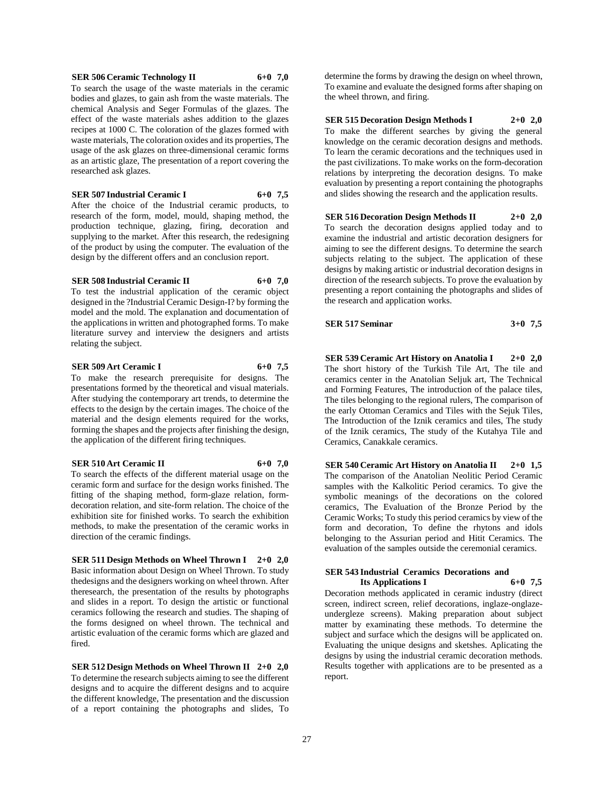#### **SER 506 Ceramic Technology II 6+0 7,0**

To search the usage of the waste materials in the ceramic bodies and glazes, to gain ash from the waste materials. The chemical Analysis and Seger Formulas of the glazes. The effect of the waste materials ashes addition to the glazes recipes at 1000 C. The coloration of the glazes formed with waste materials, The coloration oxides and its properties, The usage of the ask glazes on three-dimensional ceramic forms as an artistic glaze, The presentation of a report covering the researched ask glazes.

#### **SER 507 Industrial Ceramic I 6+0 7,5**

After the choice of the Industrial ceramic products, to research of the form, model, mould, shaping method, the production technique, glazing, firing, decoration and supplying to the market. After this research, the redesigning of the product by using the computer. The evaluation of the design by the different offers and an conclusion report.

#### **SER 508 Industrial Ceramic II 6+0 7,0**

To test the industrial application of the ceramic object designed in the ?Industrial Ceramic Design-I? by forming the model and the mold. The explanation and documentation of the applications in written and photographed forms. To make literature survey and interview the designers and artists relating the subject.

#### **SER 509 Art Ceramic I 6+0 7,5**

To make the research prerequisite for designs. The presentations formed by the theoretical and visual materials. After studying the contemporary art trends, to determine the effects to the design by the certain images. The choice of the material and the design elements required for the works, forming the shapes and the projects after finishing the design, the application of the different firing techniques.

#### **SER 510 Art Ceramic II 6+0 7,0**

To search the effects of the different material usage on the ceramic form and surface for the design works finished. The fitting of the shaping method, form-glaze relation, formdecoration relation, and site-form relation. The choice of the exhibition site for finished works. To search the exhibition methods, to make the presentation of the ceramic works in direction of the ceramic findings.

**SER 511 Design Methods on Wheel Thrown I 2+0 2,0** Basic information about Design on Wheel Thrown. To study thedesigns and the designers working on wheel thrown. After theresearch, the presentation of the results by photographs and slides in a report. To design the artistic or functional ceramics following the research and studies. The shaping of the forms designed on wheel thrown. The technical and artistic evaluation of the ceramic forms which are glazed and fired.

**SER 512 Design Methods on Wheel Thrown II 2+0 2,0** To determine the research subjects aiming to see the different designs and to acquire the different designs and to acquire the different knowledge, The presentation and the discussion of a report containing the photographs and slides, To

determine the forms by drawing the design on wheel thrown, To examine and evaluate the designed forms after shaping on the wheel thrown, and firing.

#### **SER 515 Decoration Design Methods I 2+0 2,0**

To make the different searches by giving the general knowledge on the ceramic decoration designs and methods. To learn the ceramic decorations and the techniques used in the past civilizations. To make works on the form-decoration relations by interpreting the decoration designs. To make evaluation by presenting a report containing the photographs and slides showing the research and the application results.

**SER 516 Decoration Design Methods II 2+0 2,0** To search the decoration designs applied today and to examine the industrial and artistic decoration designers for aiming to see the different designs. To determine the search subjects relating to the subject. The application of these designs by making artistic or industrial decoration designs in direction of the research subjects. To prove the evaluation by presenting a report containing the photographs and slides of the research and application works.

**SER 517 Seminar 3+0 7,5**

**SER 539 Ceramic Art History on Anatolia I 2+0 2,0** The short history of the Turkish Tile Art, The tile and ceramics center in the Anatolian Seljuk art, The Technical and Forming Features, The introduction of the palace tiles, The tiles belonging to the regional rulers, The comparison of the early Ottoman Ceramics and Tiles with the Sejuk Tiles, The Introduction of the Iznik ceramics and tiles, The study of the Iznik ceramics, The study of the Kutahya Tile and Ceramics, Canakkale ceramics.

**SER 540 Ceramic Art History on Anatolia II 2+0 1,5** The comparison of the Anatolian Neolitic Period Ceramic samples with the Kalkolitic Period ceramics. To give the symbolic meanings of the decorations on the colored ceramics, The Evaluation of the Bronze Period by the Ceramic Works; To study this period ceramics by view of the form and decoration, To define the rhytons and idols belonging to the Assurian period and Hitit Ceramics. The evaluation of the samples outside the ceremonial ceramics.

#### **SER 543 Industrial Ceramics Decorations and Its Applications I 6+0 7,5**

Decoration methods applicated in ceramic industry (direct screen, indirect screen, relief decorations, inglaze-onglazeundergleze screens). Making preparation about subject matter by examinating these methods. To determine the subject and surface which the designs will be applicated on. Evaluating the unique designs and sketshes. Aplicating the designs by using the industrial ceramic decoration methods. Results together with applications are to be presented as a report.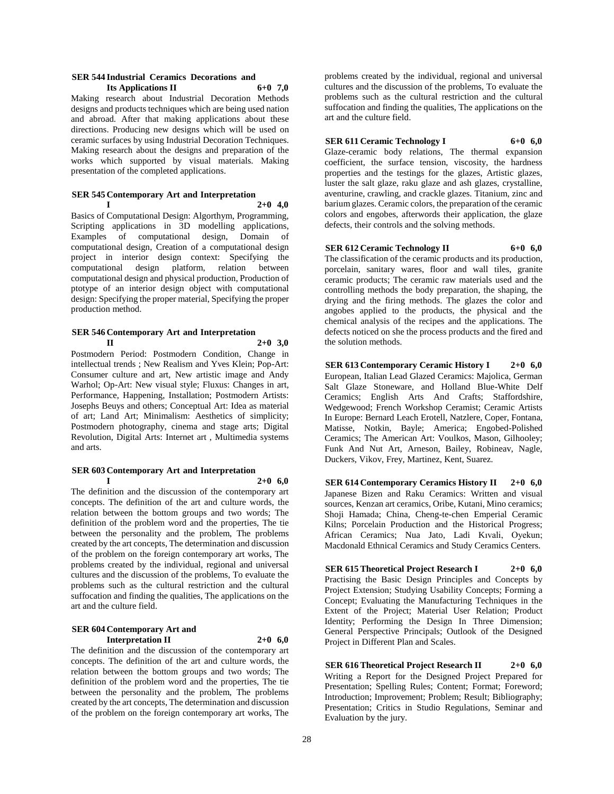#### **SER 544 Industrial Ceramics Decorations and Its Applications II 6+0 7,0**

Making research about Industrial Decoration Methods designs and products techniques which are being used nation and abroad. After that making applications about these directions. Producing new designs which will be used on ceramic surfaces by using Industrial Decoration Techniques. Making research about the designs and preparation of the works which supported by visual materials. Making presentation of the completed applications.

## **SER 545 Contemporary Art and Interpretation**

**I 2+0 4,0**

Basics of Computational Design: Algorthym, Programming, Scripting applications in 3D modelling applications, Examples of computational design, Domain of computational design, Creation of a computational design project in interior design context: Specifying the computational design platform, relation between computational design and physical production, Production of ptotype of an interior design object with computational design: Specifying the proper material, Specifying the proper production method.

## **SER 546 Contemporary Art and Interpretation**

**II 2+0 3,0** Postmodern Period: Postmodern Condition, Change in intellectual trends ; New Realism and Yves Klein; Pop-Art: Consumer culture and art, New artistic image and Andy Warhol; Op-Art: New visual style; Fluxus: Changes in art, Performance, Happening, Installation; Postmodern Artists: Josephs Beuys and others; Conceptual Art: Idea as material of art; Land Art; Minimalism: Aesthetics of simplicity; Postmodern photography, cinema and stage arts; Digital Revolution, Digital Arts: Internet art , Multimedia systems and arts.

#### **SER 603 Contemporary Art and Interpretation**

**I 2+0 6,0**

The definition and the discussion of the contemporary art concepts. The definition of the art and culture words, the relation between the bottom groups and two words; The definition of the problem word and the properties, The tie between the personality and the problem, The problems created by the art concepts, The determination and discussion of the problem on the foreign contemporary art works, The problems created by the individual, regional and universal cultures and the discussion of the problems, To evaluate the problems such as the cultural restriction and the cultural suffocation and finding the qualities, The applications on the art and the culture field.

#### **SER 604 Contemporary Art and Interpretation II 2+0 6,0**

The definition and the discussion of the contemporary art concepts. The definition of the art and culture words, the relation between the bottom groups and two words; The definition of the problem word and the properties, The tie between the personality and the problem, The problems created by the art concepts, The determination and discussion of the problem on the foreign contemporary art works, The

problems created by the individual, regional and universal cultures and the discussion of the problems, To evaluate the problems such as the cultural restriction and the cultural suffocation and finding the qualities, The applications on the art and the culture field.

## **SER 611 Ceramic Technology I 6+0 6,0**

Glaze-ceramic body relations, The thermal expansion coefficient, the surface tension, viscosity, the hardness properties and the testings for the glazes, Artistic glazes, luster the salt glaze, raku glaze and ash glazes, crystalline, aventurine, crawling, and crackle glazes. Titanium, zinc and barium glazes. Ceramic colors, the preparation of the ceramic colors and engobes, afterwords their application, the glaze defects, their controls and the solving methods.

#### **SER 612 Ceramic Technology II 6+0 6,0**

The classification of the ceramic products and its production, porcelain, sanitary wares, floor and wall tiles, granite ceramic products; The ceramic raw materials used and the controlling methods the body preparation, the shaping, the drying and the firing methods. The glazes the color and angobes applied to the products, the physical and the chemical analysis of the recipes and the applications. The defects noticed on she the process products and the fired and the solution methods.

**SER 613 Contemporary Ceramic History I 2+0 6,0** European, Italian Lead Glazed Ceramics: Majolica, German Salt Glaze Stoneware, and Holland Blue-White Delf Ceramics; English Arts And Crafts; Staffordshire, Wedgewood; French Workshop Ceramist; Ceramic Artists In Europe: Bernard Leach Erotell, Natzlere, Coper, Fontana, Matisse, Notkin, Bayle; America; Engobed-Polished Ceramics; The American Art: Voulkos, Mason, Gilhooley; Funk And Nut Art, Arneson, Bailey, Robineav, Nagle, Duckers, Vikov, Frey, Martinez, Kent, Suarez.

**SER 614 Contemporary Ceramics History II 2+0 6,0** Japanese Bizen and Raku Ceramics: Written and visual sources, Kenzan art ceramics, Oribe, Kutani, Mino ceramics; Shoji Hamada; China, Cheng-te-chen Emperial Ceramic Kilns; Porcelain Production and the Historical Progress; African Ceramics; Nua Jato, Ladi Kıvali, Oyekun; Macdonald Ethnical Ceramics and Study Ceramics Centers.

**SER 615 Theoretical Project Research I 2+0 6,0** Practising the Basic Design Principles and Concepts by Project Extension; Studying Usability Concepts; Forming a Concept; Evaluating the Manufacturing Techniques in the Extent of the Project; Material User Relation; Product Identity; Performing the Design In Three Dimension; General Perspective Principals; Outlook of the Designed Project in Different Plan and Scales.

**SER 616 Theoretical Project Research II 2+0 6,0** Writing a Report for the Designed Project Prepared for Presentation; Spelling Rules; Content; Format; Foreword; Introduction; Improvement; Problem; Result; Bibliography; Presentation; Critics in Studio Regulations, Seminar and Evaluation by the jury.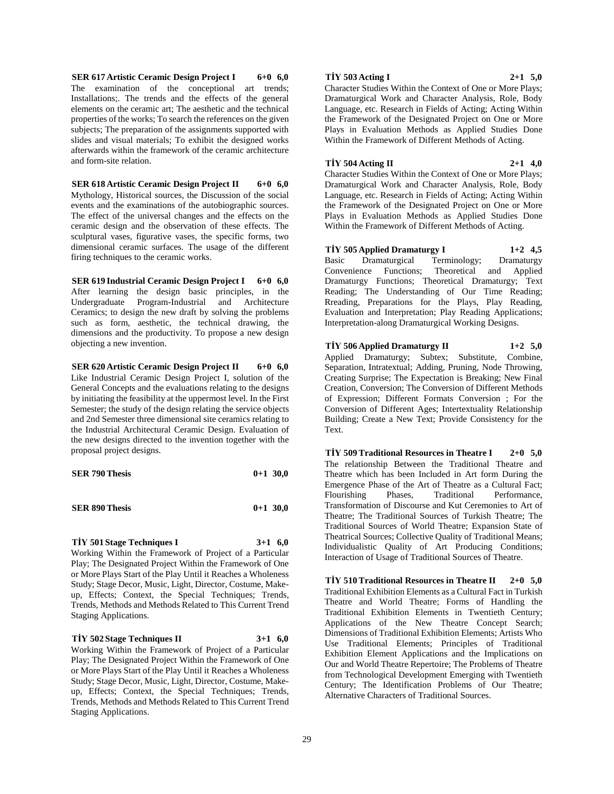**SER 617 Artistic Ceramic Design Project I 6+0 6,0** The examination of the conceptional art trends; Installations;. The trends and the effects of the general elements on the ceramic art; The aesthetic and the technical properties of the works; To search the references on the given subjects; The preparation of the assignments supported with slides and visual materials; To exhibit the designed works afterwards within the framework of the ceramic architecture and form-site relation.

**SER 618 Artistic Ceramic Design Project II 6+0 6,0** Mythology, Historical sources, the Discussion of the social events and the examinations of the autobiographic sources. The effect of the universal changes and the effects on the ceramic design and the observation of these effects. The sculptural vases, figurative vases, the specific forms, two dimensional ceramic surfaces. The usage of the different firing techniques to the ceramic works.

**SER 619 Industrial Ceramic Design Project I 6+0 6,0** After learning the design basic principles, in the Undergraduate Program-Industrial and Architecture Ceramics; to design the new draft by solving the problems such as form, aesthetic, the technical drawing, the dimensions and the productivity. To propose a new design objecting a new invention.

**SER 620 Artistic Ceramic Design Project II 6+0 6,0** Like Industrial Ceramic Design Project I, solution of the General Concepts and the evaluations relating to the designs by initiating the feasibility at the uppermost level. In the First Semester; the study of the design relating the service objects and 2nd Semester three dimensional site ceramics relating to the Industrial Architectural Ceramic Design. Evaluation of the new designs directed to the invention together with the proposal project designs.

| <b>SER 790 Thesis</b> |  | $0+1$ 30,0 |
|-----------------------|--|------------|
|-----------------------|--|------------|

| <b>SER 890 Thesis</b> | $0+1$ 30,0 |  |
|-----------------------|------------|--|
|                       |            |  |

**TİY 501 Stage Techniques I 3+1 6,0**

Working Within the Framework of Project of a Particular Play; The Designated Project Within the Framework of One or More Plays Start of the Play Until it Reaches a Wholeness Study; Stage Decor, Music, Light, Director, Costume, Makeup, Effects; Context, the Special Techniques; Trends, Trends, Methods and Methods Related to This Current Trend Staging Applications.

**TİY 502 Stage Techniques II 3+1 6,0** Working Within the Framework of Project of a Particular Play; The Designated Project Within the Framework of One or More Plays Start of the Play Until it Reaches a Wholeness Study; Stage Decor, Music, Light, Director, Costume, Makeup, Effects; Context, the Special Techniques; Trends, Trends, Methods and Methods Related to This Current Trend Staging Applications.

#### **TİY 503 Acting I 2+1 5,0**

Character Studies Within the Context of One or More Plays; Dramaturgical Work and Character Analysis, Role, Body Language, etc. Research in Fields of Acting; Acting Within the Framework of the Designated Project on One or More Plays in Evaluation Methods as Applied Studies Done Within the Framework of Different Methods of Acting.

**TİY 504 Acting II 2+1 4,0**

Character Studies Within the Context of One or More Plays; Dramaturgical Work and Character Analysis, Role, Body Language, etc. Research in Fields of Acting; Acting Within the Framework of the Designated Project on One or More Plays in Evaluation Methods as Applied Studies Done Within the Framework of Different Methods of Acting.

**TİY 505 Applied Dramaturgy I 1+2 4,5** Basic Dramaturgical Terminology; Dramaturgy Convenience Functions; Theoretical and Applied Dramaturgy Functions; Theoretical Dramaturgy; Text Reading; The Understanding of Our Time Reading; Rreading, Preparations for the Plays, Play Reading, Evaluation and Interpretation; Play Reading Applications; Interpretation-along Dramaturgical Working Designs.

**TİY 506 Applied Dramaturgy II 1+2 5,0** Applied Dramaturgy; Subtex; Substitute, Combine, Separation, Intratextual; Adding, Pruning, Node Throwing, Creating Surprise; The Expectation is Breaking; New Final Creation, Conversion; The Conversion of Different Methods of Expression; Different Formats Conversion ; For the Conversion of Different Ages; Intertextuality Relationship Building; Create a New Text; Provide Consistency for the Text.

**TİY 509 Traditional Resources in Theatre I 2+0 5,0** The relationship Between the Traditional Theatre and Theatre which has been Included in Art form During the Emergence Phase of the Art of Theatre as a Cultural Fact; Flourishing Phases, Traditional Performance, Transformation of Discourse and Kut Ceremonies to Art of Theatre; The Traditional Sources of Turkish Theatre; The Traditional Sources of World Theatre; Expansion State of Theatrical Sources; Collective Quality of Traditional Means; Individualistic Quality of Art Producing Conditions; Interaction of Usage of Traditional Sources of Theatre.

**TİY 510 Traditional Resources in Theatre II 2+0 5,0** Traditional Exhibition Elements as a Cultural Fact in Turkish Theatre and World Theatre; Forms of Handling the Traditional Exhibition Elements in Twentieth Century; Applications of the New Theatre Concept Search; Dimensions of Traditional Exhibition Elements; Artists Who Use Traditional Elements; Principles of Traditional Exhibition Element Applications and the Implications on Our and World Theatre Repertoire; The Problems of Theatre from Technological Development Emerging with Twentieth Century; The Identification Problems of Our Theatre; Alternative Characters of Traditional Sources.